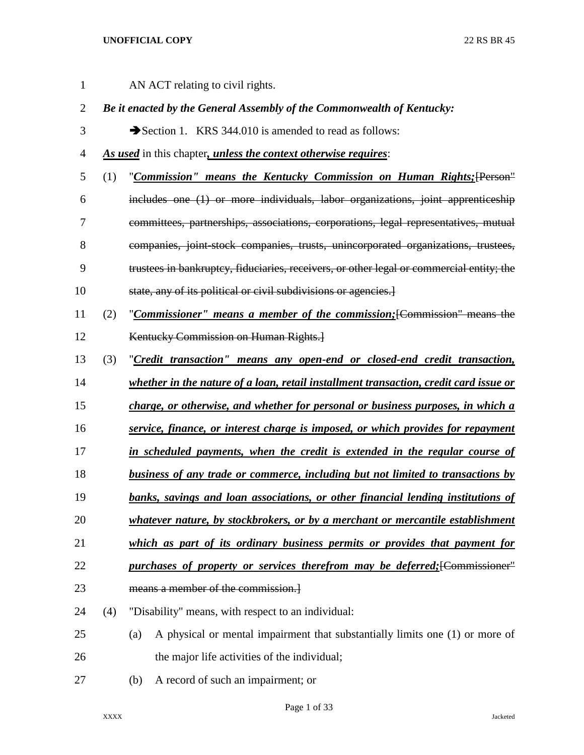| $\mathbf 1$    |     | AN ACT relating to civil rights.                                                         |  |  |  |  |  |  |  |
|----------------|-----|------------------------------------------------------------------------------------------|--|--|--|--|--|--|--|
| $\overline{2}$ |     | Be it enacted by the General Assembly of the Commonwealth of Kentucky:                   |  |  |  |  |  |  |  |
| 3              |     | Section 1. KRS 344.010 is amended to read as follows:                                    |  |  |  |  |  |  |  |
| 4              |     | As used in this chapter, unless the context otherwise requires:                          |  |  |  |  |  |  |  |
| 5              | (1) | "Commission" means the Kentucky Commission on Human Rights; [Person"                     |  |  |  |  |  |  |  |
| 6              |     | includes one (1) or more individuals, labor organizations, joint apprenticeship          |  |  |  |  |  |  |  |
| 7              |     | committees, partnerships, associations, corporations, legal representatives, mutual      |  |  |  |  |  |  |  |
| 8              |     | companies, joint-stock companies, trusts, unincorporated organizations, trustees,        |  |  |  |  |  |  |  |
| 9              |     | trustees in bankruptcy, fiduciaries, receivers, or other legal or commercial entity; the |  |  |  |  |  |  |  |
| 10             |     | state, any of its political or civil subdivisions or agencies.                           |  |  |  |  |  |  |  |
| 11             | (2) | "Commissioner" means a member of the commission; [Commission" means the                  |  |  |  |  |  |  |  |
| 12             |     | Kentucky Commission on Human Rights.                                                     |  |  |  |  |  |  |  |
| 13             | (3) | "Credit transaction" means any open-end or closed-end credit transaction,                |  |  |  |  |  |  |  |
| 14             |     | whether in the nature of a loan, retail installment transaction, credit card issue or    |  |  |  |  |  |  |  |
| 15             |     | charge, or otherwise, and whether for personal or business purposes, in which a          |  |  |  |  |  |  |  |
| 16             |     | service, finance, or interest charge is imposed, or which provides for repayment         |  |  |  |  |  |  |  |
| 17             |     | in scheduled payments, when the credit is extended in the regular course of              |  |  |  |  |  |  |  |
| 18             |     | <b>business of any trade or commerce, including but not limited to transactions by</b>   |  |  |  |  |  |  |  |
| 19             |     | banks, savings and loan associations, or other financial lending institutions of         |  |  |  |  |  |  |  |
| 20             |     | whatever nature, by stockbrokers, or by a merchant or mercantile establishment           |  |  |  |  |  |  |  |
| 21             |     | which as part of its ordinary business permits or provides that payment for              |  |  |  |  |  |  |  |
| 22             |     | purchases of property or services therefrom may be deferred; [Commissioner''             |  |  |  |  |  |  |  |
| 23             |     | means a member of the commission.                                                        |  |  |  |  |  |  |  |
| 24             | (4) | "Disability" means, with respect to an individual:                                       |  |  |  |  |  |  |  |
| 25             |     | A physical or mental impairment that substantially limits one (1) or more of<br>(a)      |  |  |  |  |  |  |  |
| 26             |     | the major life activities of the individual;                                             |  |  |  |  |  |  |  |
| 27             |     | A record of such an impairment; or<br>(b)                                                |  |  |  |  |  |  |  |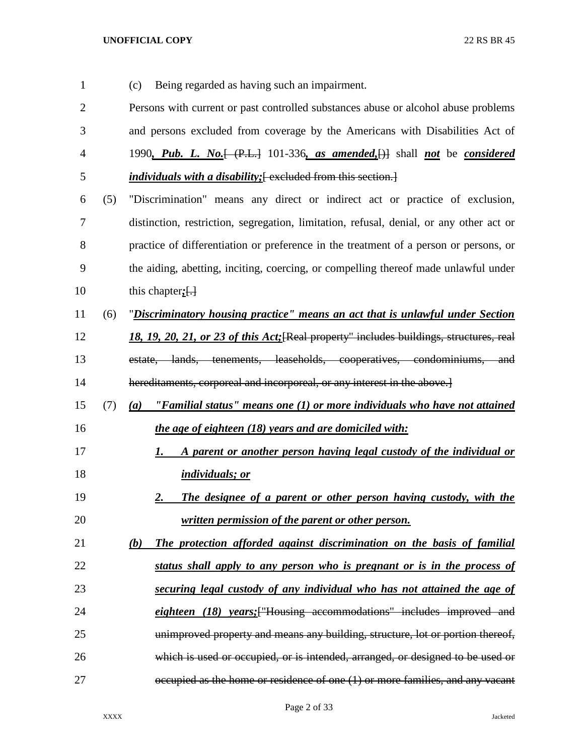(c) Being regarded as having such an impairment. Persons with current or past controlled substances abuse or alcohol abuse problems and persons excluded from coverage by the Americans with Disabilities Act of 1990*, Pub. L. No.*[ (P.L.] 101-336*, as amended,*[)] shall *not* be *considered individuals with a disability;*[ excluded from this section.] (5) "Discrimination" means any direct or indirect act or practice of exclusion, distinction, restriction, segregation, limitation, refusal, denial, or any other act or practice of differentiation or preference in the treatment of a person or persons, or the aiding, abetting, inciting, coercing, or compelling thereof made unlawful under 10 this chapter; [.] (6) "*Discriminatory housing practice" means an act that is unlawful under Section 18, 19, 20, 21, or 23 of this Act;*[Real property" includes buildings, structures, real estate, lands, tenements, leaseholds, cooperatives, condominiums, and 14 hereditaments, corporeal and incorporeal, or any interest in the above. (7) *(a) "Familial status" means one (1) or more individuals who have not attained the age of eighteen (18) years and are domiciled with: 1. A parent or another person having legal custody of the individual or individuals; or 2. The designee of a parent or other person having custody, with the written permission of the parent or other person. (b) The protection afforded against discrimination on the basis of familial status shall apply to any person who is pregnant or is in the process of securing legal custody of any individual who has not attained the age of eighteen (18) years;*["Housing accommodations" includes improved and unimproved property and means any building, structure, lot or portion thereof, which is used or occupied, or is intended, arranged, or designed to be used or occupied as the home or residence of one (1) or more families, and any vacant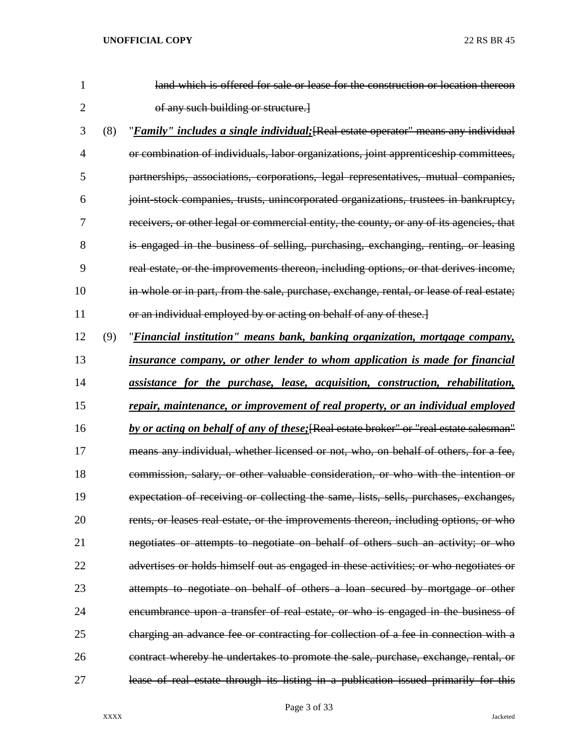| $\mathbf{1}$   |     | land which is offered for sale or lease for the construction or location thereon            |
|----------------|-----|---------------------------------------------------------------------------------------------|
| $\overline{2}$ |     | of any such building or structure.]                                                         |
| 3              | (8) | " <i>Family" includes a single individual</i> ; [Real estate operator" means any individual |
| 4              |     | or combination of individuals, labor organizations, joint apprenticeship committees,        |
| 5              |     | partnerships, associations, corporations, legal representatives, mutual companies,          |
| 6              |     | joint stock companies, trusts, unincorporated organizations, trustees in bankruptcy,        |
| 7              |     | receivers, or other legal or commercial entity, the county, or any of its agencies, that    |
| 8              |     | is engaged in the business of selling, purchasing, exchanging, renting, or leasing          |
| 9              |     | real estate, or the improvements thereon, including options, or that derives income,        |
| 10             |     | in whole or in part, from the sale, purchase, exchange, rental, or lease of real estate;    |
| 11             |     | or an individual employed by or acting on behalf of any of these.]                          |
| 12             | (9) | "Financial institution" means bank, banking organization, mortgage company,                 |
| 13             |     | insurance company, or other lender to whom application is made for financial                |
| 14             |     | assistance for the purchase, lease, acquisition, construction, rehabilitation,              |
| 15             |     | repair, maintenance, or improvement of real property, or an individual employed             |
| 16             |     | by or acting on behalf of any of these; [Real estate broker" or "real estate salesman"      |
| 17             |     | means any individual, whether licensed or not, who, on behalf of others, for a fee,         |
| 18             |     | commission, salary, or other valuable consideration, or who with the intention or           |
| 19             |     | expectation of receiving or collecting the same, lists, sells, purchases, exchanges,        |
| 20             |     | rents, or leases real estate, or the improvements thereon, including options, or who        |
| 21             |     | negotiates or attempts to negotiate on behalf of others such an activity; or who            |
| 22             |     | advertises or holds himself out as engaged in these activities; or who negotiates or        |
| 23             |     | attempts to negotiate on behalf of others a loan secured by mortgage or other               |
| 24             |     | encumbrance upon a transfer of real estate, or who is engaged in the business of            |
| 25             |     | charging an advance fee or contracting for collection of a fee in connection with a         |
| 26             |     | contract whereby he undertakes to promote the sale, purchase, exchange, rental, or          |
|                |     |                                                                                             |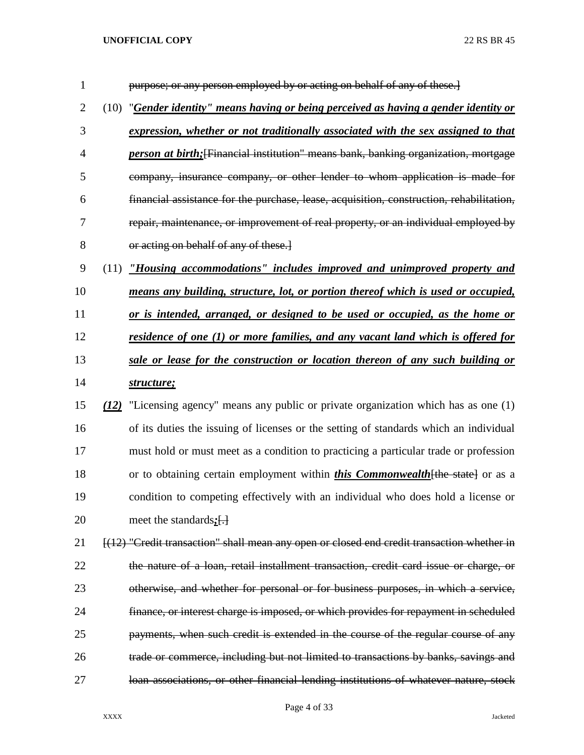| $\mathbf{1}$   |      | purpose; or any person employed by or acting on behalf of any of these.]                    |
|----------------|------|---------------------------------------------------------------------------------------------|
| $\overline{2}$ | (10) | "Gender identity" means having or being perceived as having a gender identity or            |
| 3              |      | expression, whether or not traditionally associated with the sex assigned to that           |
| 4              |      | <i>person at birth</i> ; [Financial institution" means bank, banking organization, mortgage |
| 5              |      | company, insurance company, or other lender to whom application is made for                 |
| 6              |      | financial assistance for the purchase, lease, acquisition, construction, rehabilitation,    |
| 7              |      | repair, maintenance, or improvement of real property, or an individual employed by          |
| 8              |      | or acting on behalf of any of these.                                                        |
| 9              | (11) | "Housing accommodations" includes improved and unimproved property and                      |
| 10             |      | means any building, structure, lot, or portion thereof which is used or occupied,           |
| 11             |      | or is intended, arranged, or designed to be used or occupied, as the home or                |
| 12             |      | <u>residence of one (1) or more families, and any vacant land which is offered for</u>      |
| 13             |      | sale or lease for the construction or location thereon of any such building or              |
| 14             |      | structure;                                                                                  |
| 15             | (12) | "Licensing agency" means any public or private organization which has as one (1)            |
| 16             |      | of its duties the issuing of licenses or the setting of standards which an individual       |
| 17             |      | must hold or must meet as a condition to practicing a particular trade or profession        |
| 18             |      | or to obtaining certain employment within <i>this Commonwealth</i> [the state] or as a      |
| 19             |      | condition to competing effectively with an individual who does hold a license or            |
| 20             |      | meet the standards $:$ [.]                                                                  |
| 21             |      | [(12) "Credit transaction" shall mean any open or closed end credit transaction whether in  |
| 22             |      | the nature of a loan, retail installment transaction, credit card issue or charge, or       |
| 23             |      | otherwise, and whether for personal or for business purposes, in which a service,           |
| 24             |      | finance, or interest charge is imposed, or which provides for repayment in scheduled        |
| 25             |      | payments, when such credit is extended in the course of the regular course of any           |
| 26             |      | trade or commerce, including but not limited to transactions by banks, savings and          |
| 27             |      | loan associations, or other financial lending institutions of whatever nature, stock        |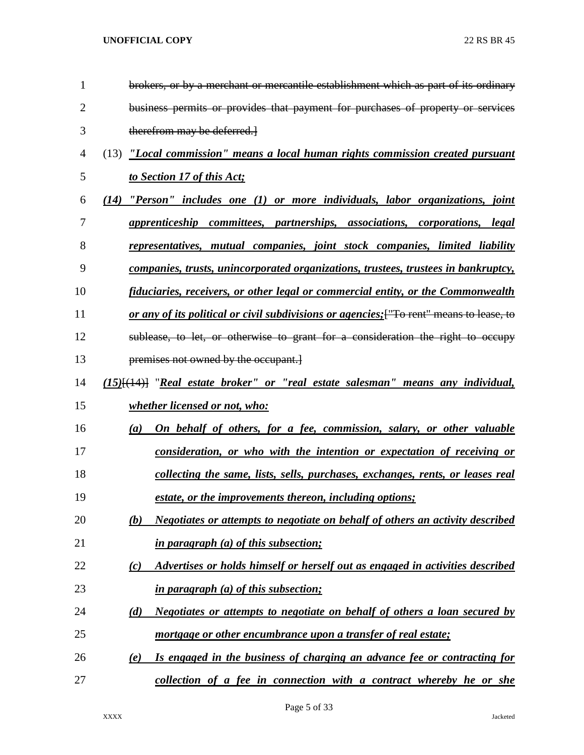| 1              | brokers, or by a merchant or mercantile establishment which as part of its ordinary      |
|----------------|------------------------------------------------------------------------------------------|
| $\overline{2}$ | business permits or provides that payment for purchases of property or services          |
| 3              | therefrom may be deferred.                                                               |
| $\overline{4}$ | "Local commission" means a local human rights commission created pursuant<br>(13)        |
| 5              | to Section 17 of this Act;                                                               |
| 6              | $"Person"$ includes one $(1)$ or more individuals, labor organizations, joint<br>(14)    |
| 7              | apprenticeship committees, partnerships, associations, corporations, legal               |
| 8              | <u>representatives, mutual companies, joint stock companies, limited liability</u>       |
| 9              | companies, trusts, unincorporated organizations, trustees, trustees in bankruptcy,       |
| 10             | fiduciaries, receivers, or other legal or commercial entity, or the Commonwealth         |
| 11             | or any of its political or civil subdivisions or agencies; ["To rent" means to lease, to |
| 12             | sublease, to let, or otherwise to grant for a consideration the right to occupy          |
| 13             | premises not owned by the occupant.                                                      |
| 14             | $(15)$ [ $(14)$ ] "Real estate broker" or "real estate salesman" means any individual,   |
| 15             | <i>whether licensed or not, who:</i>                                                     |
| 16             | On behalf of others, for a fee, commission, salary, or other valuable<br>(a)             |
| 17             | consideration, or who with the intention or expectation of receiving or                  |
| 18             | collecting the same, lists, sells, purchases, exchanges, rents, or leases real           |
| 19             | estate, or the improvements thereon, including options;                                  |
| 20             | Negotiates or attempts to negotiate on behalf of others an activity described<br>(b)     |
| 21             | <i>in paragraph (a) of this subsection;</i>                                              |
| 22             | Advertises or holds himself or herself out as engaged in activities described<br>(c)     |
| 23             | in paragraph (a) of this subsection;                                                     |
| 24             | <u>Negotiates or attempts to negotiate on behalf of others a loan secured by</u><br>(d)  |
| 25             | mortgage or other encumbrance upon a transfer of real estate;                            |
| 26             | Is engaged in the business of charging an advance fee or contracting for<br>(e)          |
| 27             | collection of a fee in connection with a contract whereby he or she                      |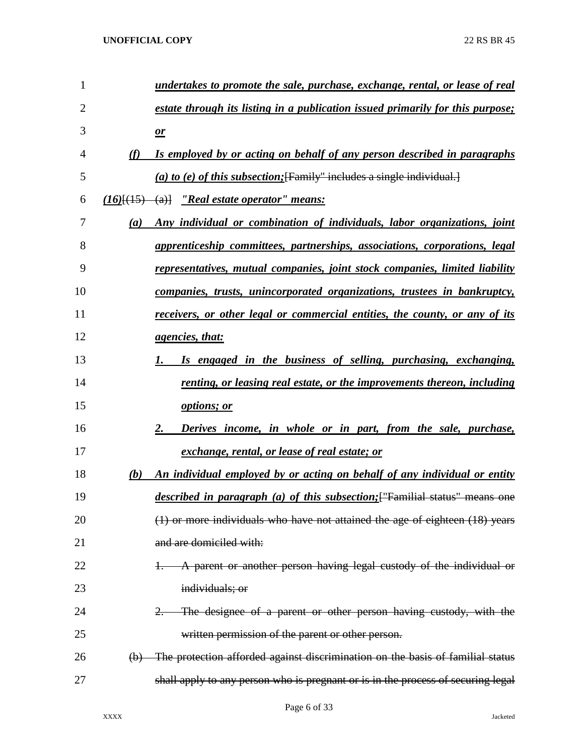| 1              |          | undertakes to promote the sale, purchase, exchange, rental, or lease of real        |
|----------------|----------|-------------------------------------------------------------------------------------|
| $\overline{2}$ |          | estate through its listing in a publication issued primarily for this purpose;      |
| 3              |          | $\mathbf{r}$                                                                        |
| 4              | (f)      | Is employed by or acting on behalf of any person described in paragraphs            |
| 5              |          | (a) to (e) of this subsection; [Family" includes a single individual.]              |
| 6              |          | $(16)$ [ $(15)$ $(a)$ ] $'$ Real estate operator'' means:                           |
| 7              | (a)      | Any individual or combination of individuals, labor organizations, joint            |
| 8              |          | apprenticeship committees, partnerships, associations, corporations, legal          |
| 9              |          | representatives, mutual companies, joint stock companies, limited liability         |
| 10             |          | companies, trusts, unincorporated organizations, trustees in bankruptcy,            |
| 11             |          | receivers, or other legal or commercial entities, the county, or any of its         |
| 12             |          | <i>agencies, that:</i>                                                              |
| 13             |          | Is engaged in the business of selling, purchasing, exchanging,                      |
| 14             |          | renting, or leasing real estate, or the improvements thereon, including             |
| 15             |          | options; or                                                                         |
| 16             |          | Derives income, in whole or in part, from the sale, purchase,<br>2.                 |
| 17             |          | exchange, rental, or lease of real estate; or                                       |
| 18             | (b)      | An individual employed by or acting on behalf of any individual or entity           |
| 19             |          | <i>described in paragraph (a) of this subsection</i> ; ["Familial status" means one |
| 20             |          | (1) or more individuals who have not attained the age of eighteen (18) years        |
| 21             |          | and are domiciled with:                                                             |
| 22             |          | A parent or another person having legal custody of the individual or                |
| 23             |          | individuals; or                                                                     |
| 24             |          | The designee of a parent or other person having custody, with the                   |
| 25             |          | written permission of the parent or other person.                                   |
| 26             | $\Theta$ | The protection afforded against discrimination on the basis of familial status      |
| 27             |          | shall apply to any person who is pregnant or is in the process of securing legal    |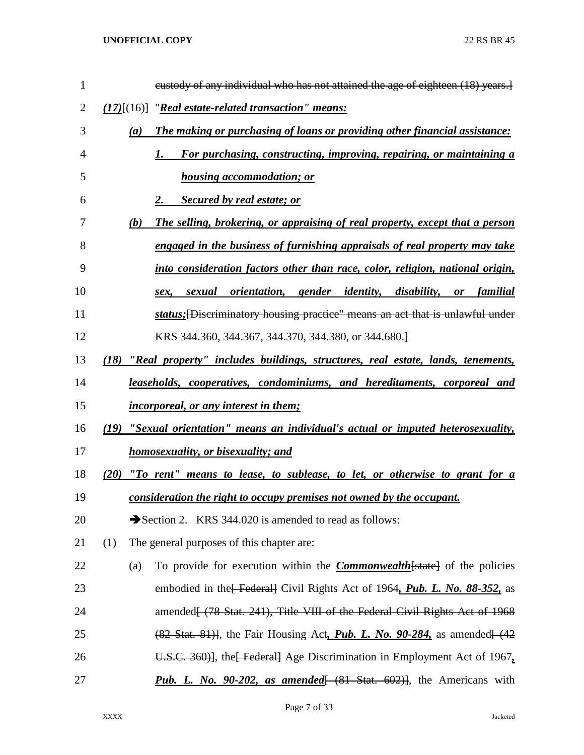| $\mathbf{1}$   | eustody of any individual who has not attained the age of eighteen (18) years.]                                  |
|----------------|------------------------------------------------------------------------------------------------------------------|
| $\overline{2}$ | $(17)$ [ $(16)$ ] "Real estate-related transaction" means:                                                       |
| 3              | The making or purchasing of loans or providing other financial assistance:<br>(a)                                |
| 4              | For purchasing, constructing, improving, repairing, or maintaining a<br>1.                                       |
| 5              | <b>housing accommodation; or</b>                                                                                 |
| 6              | <b>Secured by real estate; or</b><br>2.                                                                          |
| 7              | (b)<br>The selling, brokering, or appraising of real property, except that a person                              |
| 8              | engaged in the business of furnishing appraisals of real property may take                                       |
| 9              | into consideration factors other than race, color, religion, national origin,                                    |
| 10             | sexual orientation, gender identity, disability,<br>familial<br>or<br>sex.                                       |
| 11             | status; [Discriminatory housing practice" means an act that is unlawful under                                    |
| 12             | KRS 344.360, 344.367, 344.370, 344.380, or 344.680.                                                              |
| 13             | (18)<br>"Real property" includes buildings, structures, real estate, lands, tenements,                           |
| 14             | leaseholds, cooperatives, condominiums, and hereditaments, corporeal and                                         |
| 15             | <i>incorporeal, or any interest in them;</i>                                                                     |
| 16             | "Sexual orientation" means an individual's actual or imputed heterosexuality,<br>(19)                            |
| 17             | <u>homosexuality, or bisexuality; and</u>                                                                        |
| 18             | "To rent" means to lease, to sublease, to let, or otherwise to grant for a<br>(20)                               |
| 19             | consideration the right to occupy premises not owned by the occupant.                                            |
| 20             | Section 2. KRS 344.020 is amended to read as follows:                                                            |
| 21             | The general purposes of this chapter are:<br>(1)                                                                 |
| 22             | To provide for execution within the <b>Commonwealth</b> [state] of the policies<br>(a)                           |
| 23             | embodied in the Federal Civil Rights Act of 1964, Pub. L. No. 88-352, as                                         |
| 24             | amended (78 Stat. 241), Title VIII of the Federal Civil Rights Act of 1968                                       |
| 25             | $(82 \text{ Stat. } 81)$ , the Fair Housing Act, <i>Pub. L. No. 90-284</i> , as amended $(42 \text{ rad. } 100)$ |
| 26             | U.S.C. 360)], the Federal Age Discrimination in Employment Act of 1967.                                          |
| 27             | <b>Pub. L. No. 90-202, as amended</b> [ (81 Stat. 602)], the Americans with                                      |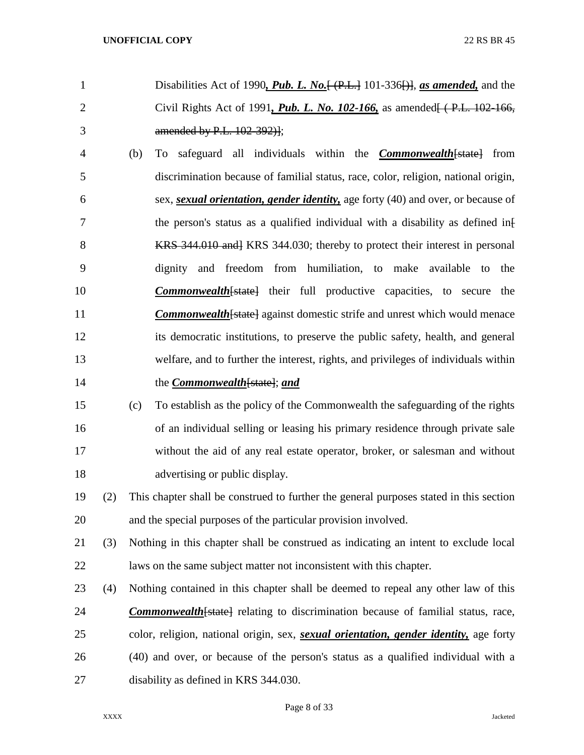- Disabilities Act of 1990*, Pub. L. No.*[ (P.L.] 101-336[)], *as amended,* and the Civil Rights Act of 1991*, Pub. L. No. 102-166,* as amended[ ( P.L. 102-166, amended by P.L. 102-392)];
- (b) To safeguard all individuals within the *Commonwealth*[state] from discrimination because of familial status, race, color, religion, national origin, sex, *sexual orientation, gender identity,* age forty (40) and over, or because of 7 the person's status as a qualified individual with a disability as defined inf 8 KRS 344.010 and KRS 344.030; thereby to protect their interest in personal dignity and freedom from humiliation, to make available to the *Commonwealth*[state] their full productive capacities, to secure the **Commonwealth** [state] against domestic strife and unrest which would menace its democratic institutions, to preserve the public safety, health, and general welfare, and to further the interest, rights, and privileges of individuals within the *Commonwealth*[state]; *and*
- (c) To establish as the policy of the Commonwealth the safeguarding of the rights of an individual selling or leasing his primary residence through private sale without the aid of any real estate operator, broker, or salesman and without 18 advertising or public display.
- (2) This chapter shall be construed to further the general purposes stated in this section and the special purposes of the particular provision involved.
- (3) Nothing in this chapter shall be construed as indicating an intent to exclude local laws on the same subject matter not inconsistent with this chapter.
- (4) Nothing contained in this chapter shall be deemed to repeal any other law of this *Commonwealth*[state] relating to discrimination because of familial status, race, color, religion, national origin, sex, *sexual orientation, gender identity,* age forty (40) and over, or because of the person's status as a qualified individual with a disability as defined in KRS 344.030.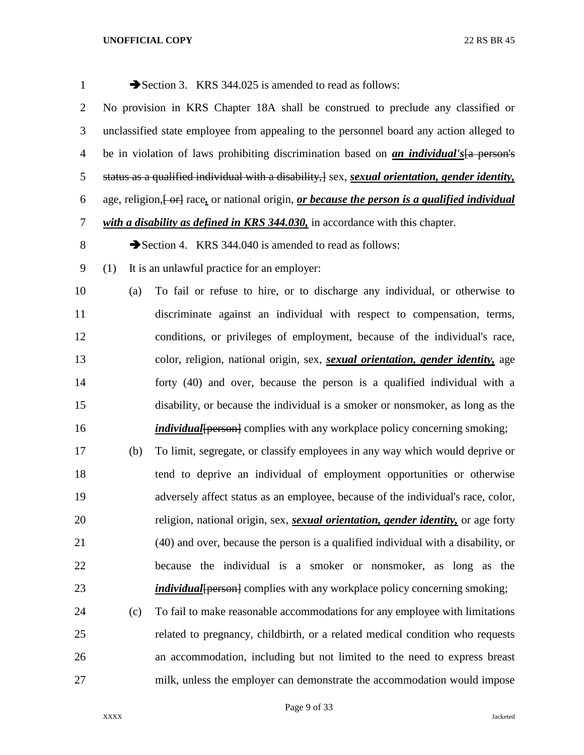| $\mathbf{1}$   |                                                                                  | Section 3. KRS 344.025 is amended to read as follows:                                                                       |  |  |  |  |  |  |
|----------------|----------------------------------------------------------------------------------|-----------------------------------------------------------------------------------------------------------------------------|--|--|--|--|--|--|
| $\overline{2}$ | No provision in KRS Chapter 18A shall be construed to preclude any classified or |                                                                                                                             |  |  |  |  |  |  |
| 3              |                                                                                  | unclassified state employee from appealing to the personnel board any action alleged to                                     |  |  |  |  |  |  |
| $\overline{4}$ |                                                                                  | be in violation of laws prohibiting discrimination based on <i>an individual's</i> [a person's                              |  |  |  |  |  |  |
| 5              |                                                                                  | status as a qualified individual with a disability, $\frac{1}{2}$ sex, <i>sexual orientation</i> , <i>gender identity</i> , |  |  |  |  |  |  |
| 6              |                                                                                  | age, religion, [-or] race, or national origin, <i>or because the person is a qualified individual</i>                       |  |  |  |  |  |  |
| 7              |                                                                                  | with a disability as defined in KRS 344.030, in accordance with this chapter.                                               |  |  |  |  |  |  |
| 8              |                                                                                  | Section 4. KRS 344.040 is amended to read as follows:                                                                       |  |  |  |  |  |  |
| 9              | (1)                                                                              | It is an unlawful practice for an employer:                                                                                 |  |  |  |  |  |  |
| 10             | (a)                                                                              | To fail or refuse to hire, or to discharge any individual, or otherwise to                                                  |  |  |  |  |  |  |
| 11             |                                                                                  | discriminate against an individual with respect to compensation, terms,                                                     |  |  |  |  |  |  |
| 12             |                                                                                  | conditions, or privileges of employment, because of the individual's race,                                                  |  |  |  |  |  |  |
| 13             |                                                                                  | color, religion, national origin, sex, sexual orientation, gender identity, age                                             |  |  |  |  |  |  |
| 14             |                                                                                  | forty (40) and over, because the person is a qualified individual with a                                                    |  |  |  |  |  |  |
| 15             |                                                                                  | disability, or because the individual is a smoker or nonsmoker, as long as the                                              |  |  |  |  |  |  |
| 16             |                                                                                  | <i>individual</i> {person} complies with any workplace policy concerning smoking;                                           |  |  |  |  |  |  |
| 17             | (b)                                                                              | To limit, segregate, or classify employees in any way which would deprive or                                                |  |  |  |  |  |  |
| 18             |                                                                                  | tend to deprive an individual of employment opportunities or otherwise                                                      |  |  |  |  |  |  |
| 19             |                                                                                  | adversely affect status as an employee, because of the individual's race, color,                                            |  |  |  |  |  |  |
| 20             |                                                                                  | religion, national origin, sex, <i>sexual orientation</i> , <i>gender identity</i> , or age forty                           |  |  |  |  |  |  |
| 21             |                                                                                  | (40) and over, because the person is a qualified individual with a disability, or                                           |  |  |  |  |  |  |
| 22             |                                                                                  | because the individual is a smoker or nonsmoker, as long as the                                                             |  |  |  |  |  |  |
| 23             |                                                                                  | <i>individual</i> {person} complies with any workplace policy concerning smoking;                                           |  |  |  |  |  |  |
| 24             | (c)                                                                              | To fail to make reasonable accommodations for any employee with limitations                                                 |  |  |  |  |  |  |
| 25             |                                                                                  | related to pregnancy, childbirth, or a related medical condition who requests                                               |  |  |  |  |  |  |
| 26             |                                                                                  | an accommodation, including but not limited to the need to express breast                                                   |  |  |  |  |  |  |
| 27             |                                                                                  | milk, unless the employer can demonstrate the accommodation would impose                                                    |  |  |  |  |  |  |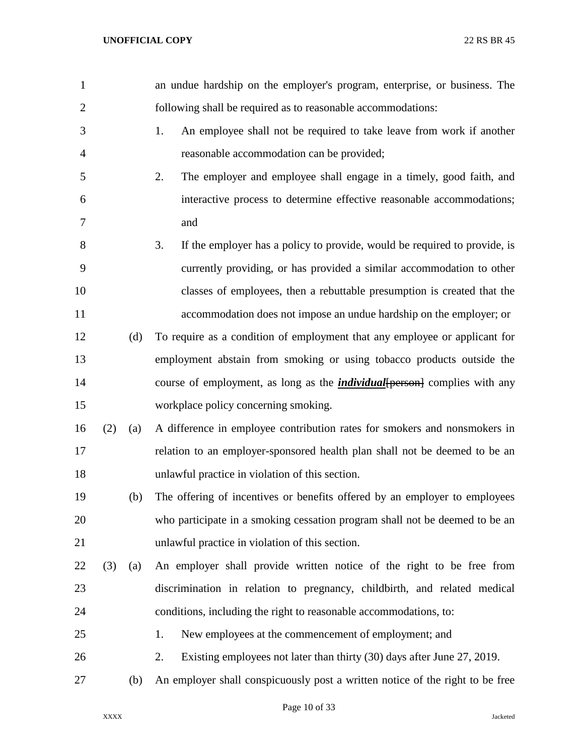| $\mathbf{1}$   |     |     | an undue hardship on the employer's program, enterprise, or business. The         |  |  |  |  |  |  |  |
|----------------|-----|-----|-----------------------------------------------------------------------------------|--|--|--|--|--|--|--|
| $\overline{2}$ |     |     | following shall be required as to reasonable accommodations:                      |  |  |  |  |  |  |  |
| 3              |     |     | 1.<br>An employee shall not be required to take leave from work if another        |  |  |  |  |  |  |  |
| $\overline{4}$ |     |     | reasonable accommodation can be provided;                                         |  |  |  |  |  |  |  |
| 5              |     |     | 2.<br>The employer and employee shall engage in a timely, good faith, and         |  |  |  |  |  |  |  |
| 6              |     |     | interactive process to determine effective reasonable accommodations;             |  |  |  |  |  |  |  |
| 7              |     |     | and                                                                               |  |  |  |  |  |  |  |
| 8              |     |     | 3.<br>If the employer has a policy to provide, would be required to provide, is   |  |  |  |  |  |  |  |
| 9              |     |     | currently providing, or has provided a similar accommodation to other             |  |  |  |  |  |  |  |
| 10             |     |     | classes of employees, then a rebuttable presumption is created that the           |  |  |  |  |  |  |  |
| 11             |     |     | accommodation does not impose an undue hardship on the employer; or               |  |  |  |  |  |  |  |
| 12             |     | (d) | To require as a condition of employment that any employee or applicant for        |  |  |  |  |  |  |  |
| 13             |     |     | employment abstain from smoking or using tobacco products outside the             |  |  |  |  |  |  |  |
| 14             |     |     | course of employment, as long as the <i>individual</i> [person] complies with any |  |  |  |  |  |  |  |
| 15             |     |     | workplace policy concerning smoking.                                              |  |  |  |  |  |  |  |
| 16             | (2) | (a) | A difference in employee contribution rates for smokers and nonsmokers in         |  |  |  |  |  |  |  |
| 17             |     |     | relation to an employer-sponsored health plan shall not be deemed to be an        |  |  |  |  |  |  |  |
| 18             |     |     | unlawful practice in violation of this section.                                   |  |  |  |  |  |  |  |
| 19             |     | (b) | The offering of incentives or benefits offered by an employer to employees        |  |  |  |  |  |  |  |
| 20             |     |     | who participate in a smoking cessation program shall not be deemed to be an       |  |  |  |  |  |  |  |
| 21             |     |     | unlawful practice in violation of this section.                                   |  |  |  |  |  |  |  |
| 22             | (3) | (a) | An employer shall provide written notice of the right to be free from             |  |  |  |  |  |  |  |
| 23             |     |     | discrimination in relation to pregnancy, childbirth, and related medical          |  |  |  |  |  |  |  |
| 24             |     |     | conditions, including the right to reasonable accommodations, to:                 |  |  |  |  |  |  |  |
| 25             |     |     | New employees at the commencement of employment; and<br>1.                        |  |  |  |  |  |  |  |
| 26             |     |     | 2.<br>Existing employees not later than thirty (30) days after June 27, 2019.     |  |  |  |  |  |  |  |
| 27             |     | (b) | An employer shall conspicuously post a written notice of the right to be free     |  |  |  |  |  |  |  |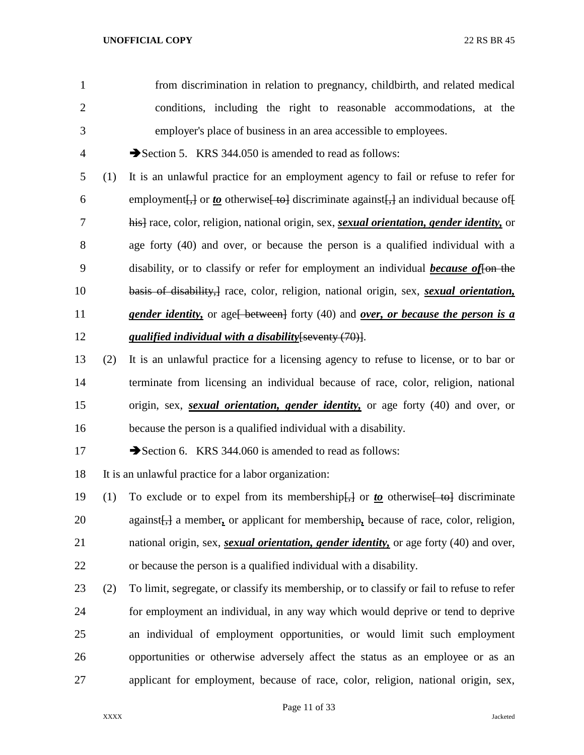from discrimination in relation to pregnancy, childbirth, and related medical conditions, including the right to reasonable accommodations, at the employer's place of business in an area accessible to employees.

4 Section 5. KRS 344.050 is amended to read as follows:

 (1) It is an unlawful practice for an employment agency to fail or refuse to refer for 6 employment $\left\{\frac{1}{2}\right\}$  or <u>to</u> otherwise  $\left\{\frac{1}{2}$  discriminate against $\left\{\frac{1}{2}\right\}$  an individual because of  $\left\{\frac{1}{2}\right\}$  his] race, color, religion, national origin, sex, *sexual orientation, gender identity,* or age forty (40) and over, or because the person is a qualified individual with a disability, or to classify or refer for employment an individual *because of*[on the basis of disability,] race, color, religion, national origin, sex, *sexual orientation,*  **gender identity,** or age<del>[ between]</del> forty (40) and *over, or because the person is a qualified individual with a disability*[seventy (70)].

- (2) It is an unlawful practice for a licensing agency to refuse to license, or to bar or terminate from licensing an individual because of race, color, religion, national origin, sex, *sexual orientation, gender identity,* or age forty (40) and over, or because the person is a qualified individual with a disability.
- 17 Section 6. KRS 344.060 is amended to read as follows:

It is an unlawful practice for a labor organization:

- 19 (1) To exclude or to expel from its membership<del>[,]</del> or *to* otherwise [ to discriminate against[,] a member*,* or applicant for membership*,* because of race, color, religion, national origin, sex, *sexual orientation, gender identity,* or age forty (40) and over,
- or because the person is a qualified individual with a disability.
- (2) To limit, segregate, or classify its membership, or to classify or fail to refuse to refer for employment an individual, in any way which would deprive or tend to deprive an individual of employment opportunities, or would limit such employment opportunities or otherwise adversely affect the status as an employee or as an applicant for employment, because of race, color, religion, national origin, sex,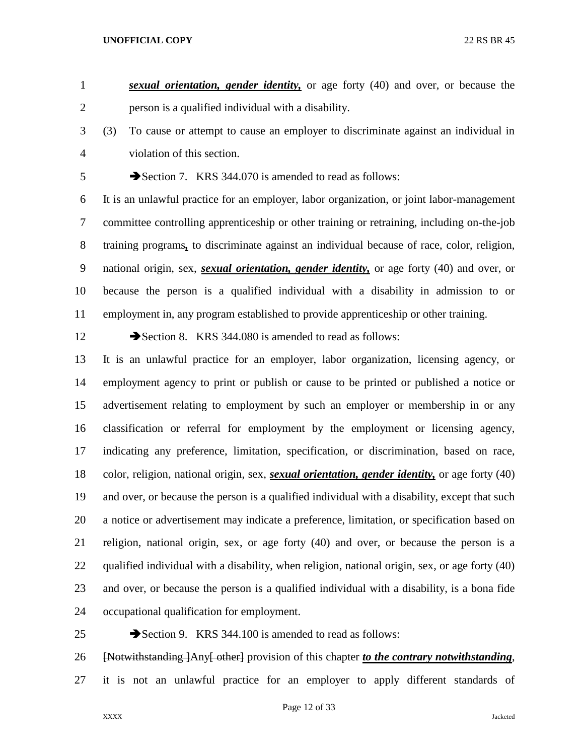*sexual orientation, gender identity,* or age forty (40) and over, or because the person is a qualified individual with a disability.

 (3) To cause or attempt to cause an employer to discriminate against an individual in violation of this section.

5 Section 7. KRS 344.070 is amended to read as follows:

 It is an unlawful practice for an employer, labor organization, or joint labor-management committee controlling apprenticeship or other training or retraining, including on-the-job training programs*,* to discriminate against an individual because of race, color, religion, national origin, sex, *sexual orientation, gender identity,* or age forty (40) and over, or because the person is a qualified individual with a disability in admission to or employment in, any program established to provide apprenticeship or other training.

12 Section 8. KRS 344.080 is amended to read as follows:

 It is an unlawful practice for an employer, labor organization, licensing agency, or employment agency to print or publish or cause to be printed or published a notice or advertisement relating to employment by such an employer or membership in or any classification or referral for employment by the employment or licensing agency, indicating any preference, limitation, specification, or discrimination, based on race, color, religion, national origin, sex, *sexual orientation, gender identity,* or age forty (40) and over, or because the person is a qualified individual with a disability, except that such a notice or advertisement may indicate a preference, limitation, or specification based on religion, national origin, sex, or age forty (40) and over, or because the person is a qualified individual with a disability, when religion, national origin, sex, or age forty (40) and over, or because the person is a qualified individual with a disability, is a bona fide occupational qualification for employment.

25 Section 9. KRS 344.100 is amended to read as follows: [Notwithstanding ]Any[ other] provision of this chapter *to the contrary notwithstanding*, it is not an unlawful practice for an employer to apply different standards of

Page 12 of 33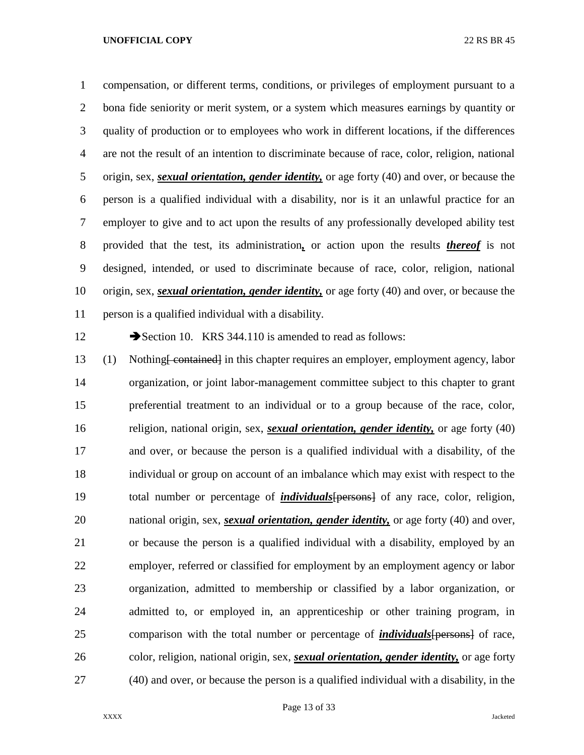compensation, or different terms, conditions, or privileges of employment pursuant to a bona fide seniority or merit system, or a system which measures earnings by quantity or quality of production or to employees who work in different locations, if the differences are not the result of an intention to discriminate because of race, color, religion, national origin, sex, *sexual orientation, gender identity,* or age forty (40) and over, or because the person is a qualified individual with a disability, nor is it an unlawful practice for an employer to give and to act upon the results of any professionally developed ability test provided that the test, its administration*,* or action upon the results *thereof* is not designed, intended, or used to discriminate because of race, color, religion, national origin, sex, *sexual orientation, gender identity,* or age forty (40) and over, or because the person is a qualified individual with a disability.

12 Section 10. KRS 344.110 is amended to read as follows:

 (1) Nothing[ contained] in this chapter requires an employer, employment agency, labor organization, or joint labor-management committee subject to this chapter to grant preferential treatment to an individual or to a group because of the race, color, religion, national origin, sex, *sexual orientation, gender identity,* or age forty (40) and over, or because the person is a qualified individual with a disability, of the individual or group on account of an imbalance which may exist with respect to the total number or percentage of *individuals*[persons] of any race, color, religion, national origin, sex, *sexual orientation, gender identity,* or age forty (40) and over, or because the person is a qualified individual with a disability, employed by an employer, referred or classified for employment by an employment agency or labor organization, admitted to membership or classified by a labor organization, or admitted to, or employed in, an apprenticeship or other training program, in comparison with the total number or percentage of *individuals*[persons] of race, color, religion, national origin, sex, *sexual orientation, gender identity,* or age forty (40) and over, or because the person is a qualified individual with a disability, in the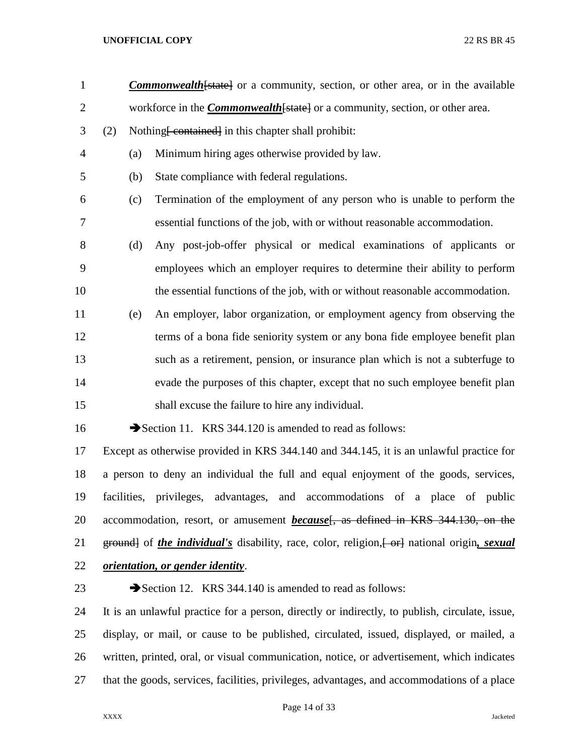- 1 **Commonwealth** [state] or a community, section, or other area, or in the available 2 workforce in the *Commonwealth* [state] or a community, section, or other area.
- 3 (2) Nothing <del>[ contained]</del> in this chapter shall prohibit:
- (a) Minimum hiring ages otherwise provided by law.
- (b) State compliance with federal regulations.
- (c) Termination of the employment of any person who is unable to perform the essential functions of the job, with or without reasonable accommodation.
- (d) Any post-job-offer physical or medical examinations of applicants or employees which an employer requires to determine their ability to perform the essential functions of the job, with or without reasonable accommodation.
- (e) An employer, labor organization, or employment agency from observing the terms of a bona fide seniority system or any bona fide employee benefit plan such as a retirement, pension, or insurance plan which is not a subterfuge to evade the purposes of this chapter, except that no such employee benefit plan shall excuse the failure to hire any individual.

16 Section 11. KRS 344.120 is amended to read as follows:

 Except as otherwise provided in KRS 344.140 and 344.145, it is an unlawful practice for a person to deny an individual the full and equal enjoyment of the goods, services, facilities, privileges, advantages, and accommodations of a place of public 20 accommodation, resort, or amusement *because*<sup>[</sup>, as defined in KRS 344.130, on the 21 ground of *the individual's* disability, race, color, religion,  $\leftarrow$  errel national origin, *sexual orientation, or gender identity*.

23 Section 12. KRS 344.140 is amended to read as follows:

 It is an unlawful practice for a person, directly or indirectly, to publish, circulate, issue, display, or mail, or cause to be published, circulated, issued, displayed, or mailed, a written, printed, oral, or visual communication, notice, or advertisement, which indicates that the goods, services, facilities, privileges, advantages, and accommodations of a place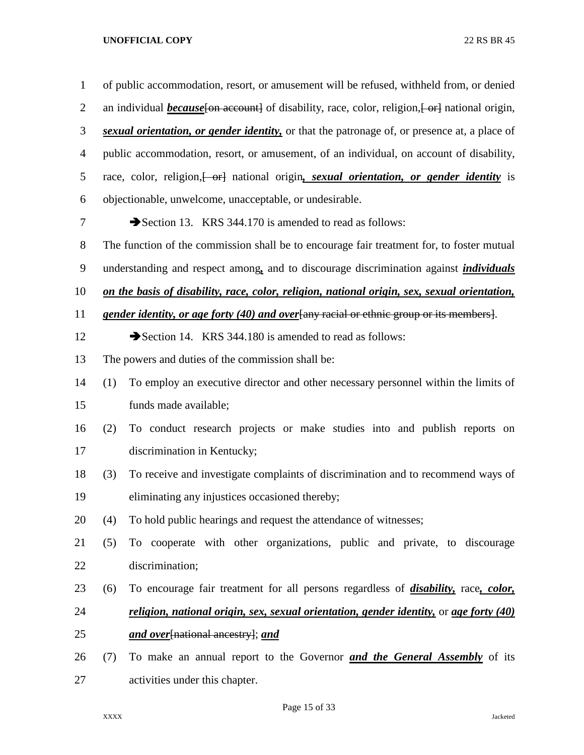| $\mathbf{1}$   |     | of public accommodation, resort, or amusement will be refused, withheld from, or denied                |
|----------------|-----|--------------------------------------------------------------------------------------------------------|
| $\overline{2}$ |     | an individual <i>because</i> [on account] of disability, race, color, religion, [or ] national origin, |
| 3              |     | sexual orientation, or gender identity, or that the patronage of, or presence at, a place of           |
| $\overline{4}$ |     | public accommodation, resort, or amusement, of an individual, on account of disability,                |
| 5              |     | race, color, religion, or antional origin, sexual orientation, or gender identity is                   |
| 6              |     | objectionable, unwelcome, unacceptable, or undesirable.                                                |
| 7              |     | Section 13. KRS 344.170 is amended to read as follows:                                                 |
| 8              |     | The function of the commission shall be to encourage fair treatment for, to foster mutual              |
| 9              |     | understanding and respect among, and to discourage discrimination against <i>individuals</i>           |
| 10             |     | on the basis of disability, race, color, religion, national origin, sex, sexual orientation,           |
| 11             |     | gender identity, or age forty (40) and over any racial or ethnic group or its members.                 |
| 12             |     | Section 14. KRS 344.180 is amended to read as follows:                                                 |
| 13             |     | The powers and duties of the commission shall be:                                                      |
| 14             | (1) | To employ an executive director and other necessary personnel within the limits of                     |
| 15             |     | funds made available;                                                                                  |
| 16             | (2) | To conduct research projects or make studies into and publish reports on                               |
| 17             |     | discrimination in Kentucky;                                                                            |
| 18             | (3) | To receive and investigate complaints of discrimination and to recommend ways of                       |
| 19             |     | eliminating any injustices occasioned thereby;                                                         |
| 20             | (4) | To hold public hearings and request the attendance of witnesses;                                       |
| 21             | (5) | To cooperate with other organizations, public and private, to discourage                               |
| 22             |     | discrimination;                                                                                        |
| 23             | (6) | To encourage fair treatment for all persons regardless of <i>disability</i> , race, <i>color</i> ,     |
| 24             |     | religion, national origin, sex, sexual orientation, gender identity, or age forty (40)                 |
| 25             |     | and over[national ancestry]; and                                                                       |
| 26             | (7) | To make an annual report to the Governor <b>and the General Assembly</b> of its                        |
| 27             |     | activities under this chapter.                                                                         |

Page 15 of 33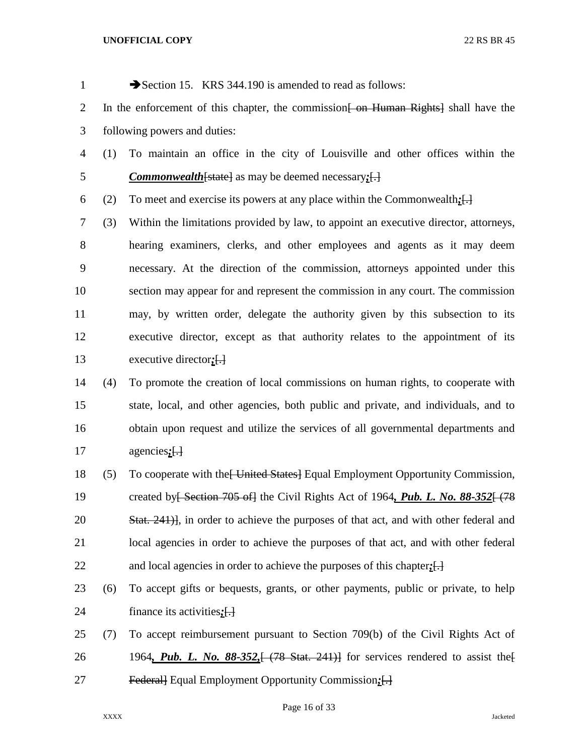| $\mathbf{1}$   |                                                                                                 | Section 15. KRS 344.190 is amended to read as follows:                                             |  |  |  |  |  |
|----------------|-------------------------------------------------------------------------------------------------|----------------------------------------------------------------------------------------------------|--|--|--|--|--|
| $\overline{2}$ | In the enforcement of this chapter, the commission <del>[ on Human Rights]</del> shall have the |                                                                                                    |  |  |  |  |  |
| 3              |                                                                                                 | following powers and duties:                                                                       |  |  |  |  |  |
| $\overline{4}$ | (1)                                                                                             | To maintain an office in the city of Louisville and other offices within the                       |  |  |  |  |  |
| 5              |                                                                                                 | <b>Commonwealth</b> [state] as may be deemed necessary; $\left\{\frac{1}{2}\right\}$               |  |  |  |  |  |
| 6              | (2)                                                                                             | To meet and exercise its powers at any place within the Commonwealth: $\left\{\frac{1}{n}\right\}$ |  |  |  |  |  |
| $\overline{7}$ | (3)                                                                                             | Within the limitations provided by law, to appoint an executive director, attorneys,               |  |  |  |  |  |
| 8              |                                                                                                 | hearing examiners, clerks, and other employees and agents as it may deem                           |  |  |  |  |  |
| 9              |                                                                                                 | necessary. At the direction of the commission, attorneys appointed under this                      |  |  |  |  |  |
| 10             |                                                                                                 | section may appear for and represent the commission in any court. The commission                   |  |  |  |  |  |
| 11             |                                                                                                 | may, by written order, delegate the authority given by this subsection to its                      |  |  |  |  |  |
| 12             |                                                                                                 | executive director, except as that authority relates to the appointment of its                     |  |  |  |  |  |
| 13             |                                                                                                 | executive director; [.]                                                                            |  |  |  |  |  |
| 14             | (4)                                                                                             | To promote the creation of local commissions on human rights, to cooperate with                    |  |  |  |  |  |
| 15             |                                                                                                 | state, local, and other agencies, both public and private, and individuals, and to                 |  |  |  |  |  |
| 16             |                                                                                                 | obtain upon request and utilize the services of all governmental departments and                   |  |  |  |  |  |
| 17             |                                                                                                 | $agencies; [\frac{1}{2}]$                                                                          |  |  |  |  |  |
| 18             | (5)                                                                                             | To cooperate with the United States Equal Employment Opportunity Commission,                       |  |  |  |  |  |
| 19             |                                                                                                 | created by Section 705 of the Civil Rights Act of 1964, Pub. L. No. 88-352 + (78                   |  |  |  |  |  |
| 20             |                                                                                                 | Stat. 241), in order to achieve the purposes of that act, and with other federal and               |  |  |  |  |  |

 local agencies in order to achieve the purposes of that act, and with other federal and local agencies in order to achieve the purposes of this chapter*;*[.]

- (6) To accept gifts or bequests, grants, or other payments, public or private, to help finance its activities*;*[.]
- (7) To accept reimbursement pursuant to Section 709(b) of the Civil Rights Act of 26 1964, Pub. L. No. 88-352,  $(78 \text{ Stat. } 241)$  for services rendered to assist the Federal] Equal Employment Opportunity Commission*;*[.]

Page 16 of 33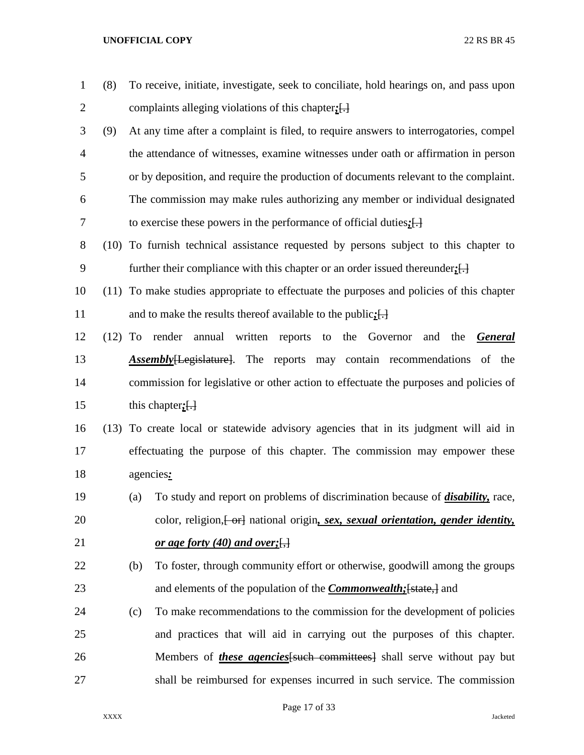| $\mathbf{1}$   | (8)       | To receive, initiate, investigate, seek to conciliate, hold hearings on, and pass upon |                                                                                          |  |  |  |  |  |  |  |  |
|----------------|-----------|----------------------------------------------------------------------------------------|------------------------------------------------------------------------------------------|--|--|--|--|--|--|--|--|
| $\overline{2}$ |           | complaints alleging violations of this chapter; $\left\{ \cdot \right\}$               |                                                                                          |  |  |  |  |  |  |  |  |
| 3              | (9)       |                                                                                        | At any time after a complaint is filed, to require answers to interrogatories, compel    |  |  |  |  |  |  |  |  |
| $\overline{4}$ |           |                                                                                        | the attendance of witnesses, examine witnesses under oath or affirmation in person       |  |  |  |  |  |  |  |  |
| 5              |           |                                                                                        | or by deposition, and require the production of documents relevant to the complaint.     |  |  |  |  |  |  |  |  |
| 6              |           |                                                                                        | The commission may make rules authorizing any member or individual designated            |  |  |  |  |  |  |  |  |
| 7              |           |                                                                                        | to exercise these powers in the performance of official duties; $[\cdot]$                |  |  |  |  |  |  |  |  |
| 8              |           |                                                                                        | (10) To furnish technical assistance requested by persons subject to this chapter to     |  |  |  |  |  |  |  |  |
| 9              |           |                                                                                        | further their compliance with this chapter or an order issued thereunder; $[\cdot]$      |  |  |  |  |  |  |  |  |
| 10             |           |                                                                                        | (11) To make studies appropriate to effectuate the purposes and policies of this chapter |  |  |  |  |  |  |  |  |
| 11             |           |                                                                                        | and to make the results thereof available to the public; $\left\{\cdot\right\}$          |  |  |  |  |  |  |  |  |
| 12             | $(12)$ To |                                                                                        | render annual written<br>to the Governor<br>reports<br>and<br>the<br><b>General</b>      |  |  |  |  |  |  |  |  |
| 13             |           |                                                                                        | <b>Assembly</b> [Legislature]. The reports may contain recommendations of the            |  |  |  |  |  |  |  |  |
| 14             |           |                                                                                        | commission for legislative or other action to effectuate the purposes and policies of    |  |  |  |  |  |  |  |  |
| 15             |           |                                                                                        | this chapter; $\left\{ \cdot \right\}$                                                   |  |  |  |  |  |  |  |  |
| 16             |           |                                                                                        | (13) To create local or statewide advisory agencies that in its judgment will aid in     |  |  |  |  |  |  |  |  |
| 17             |           |                                                                                        | effectuating the purpose of this chapter. The commission may empower these               |  |  |  |  |  |  |  |  |
| 18             |           |                                                                                        | agencies:                                                                                |  |  |  |  |  |  |  |  |
| 19             |           | (a)                                                                                    | To study and report on problems of discrimination because of <i>disability</i> , race,   |  |  |  |  |  |  |  |  |
| 20             |           |                                                                                        | color, religion, [-or] national origin, sex, sexual orientation, gender identity,        |  |  |  |  |  |  |  |  |
| 21             |           |                                                                                        | <u>or age forty (40) and over;</u>                                                       |  |  |  |  |  |  |  |  |
| 22             |           | (b)                                                                                    | To foster, through community effort or otherwise, goodwill among the groups              |  |  |  |  |  |  |  |  |
| 23             |           |                                                                                        | and elements of the population of the <i>Commonwealth</i> ; [state,] and                 |  |  |  |  |  |  |  |  |
| 24             |           | (c)                                                                                    | To make recommendations to the commission for the development of policies                |  |  |  |  |  |  |  |  |
| 25             |           |                                                                                        | and practices that will aid in carrying out the purposes of this chapter.                |  |  |  |  |  |  |  |  |
| 26             |           |                                                                                        | Members of <i>these agencies</i> [such committees] shall serve without pay but           |  |  |  |  |  |  |  |  |
| 27             |           |                                                                                        | shall be reimbursed for expenses incurred in such service. The commission                |  |  |  |  |  |  |  |  |

Page 17 of 33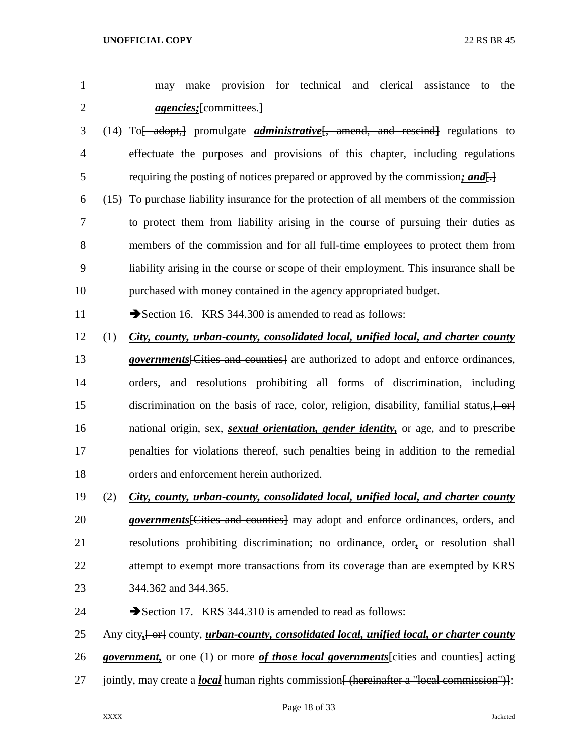|  |                                 |  |  | may make provision for technical and clerical assistance to the |  |
|--|---------------------------------|--|--|-----------------------------------------------------------------|--|
|  | <i>agencies</i> ; [committees.] |  |  |                                                                 |  |

- (14) To[ adopt,] promulgate *administrative*[, amend, and rescind] regulations to effectuate the purposes and provisions of this chapter, including regulations requiring the posting of notices prepared or approved by the commission*; and*[.]
- (15) To purchase liability insurance for the protection of all members of the commission to protect them from liability arising in the course of pursuing their duties as members of the commission and for all full-time employees to protect them from liability arising in the course or scope of their employment. This insurance shall be purchased with money contained in the agency appropriated budget.

11 Section 16. KRS 344.300 is amended to read as follows:

- (1) *City, county, urban-county, consolidated local, unified local, and charter county*
- *governments*[Cities and counties] are authorized to adopt and enforce ordinances, orders, and resolutions prohibiting all forms of discrimination, including 15 discrimination on the basis of race, color, religion, disability, familial status,  $\left\{\theta + \theta\right\}$  national origin, sex, *sexual orientation, gender identity,* or age, and to prescribe penalties for violations thereof, such penalties being in addition to the remedial orders and enforcement herein authorized.
- (2) *City, county, urban-county, consolidated local, unified local, and charter county*
- *governments*[Cities and counties] may adopt and enforce ordinances, orders, and resolutions prohibiting discrimination; no ordinance, order*,* or resolution shall 22 attempt to exempt more transactions from its coverage than are exempted by KRS 344.362 and 344.365.
- 24 Section 17. KRS 344.310 is amended to read as follows:
- 25 Any city,  $\left\{\text{or} \right\}$  county, *urban-county, consolidated local, unified local, or charter county*
- *government,* or one (1) or more *of those local governments*[cities and counties] acting
- 27 jointly, may create a *local* human rights commission<del>[ (hereinafter a "local commission")]</del>: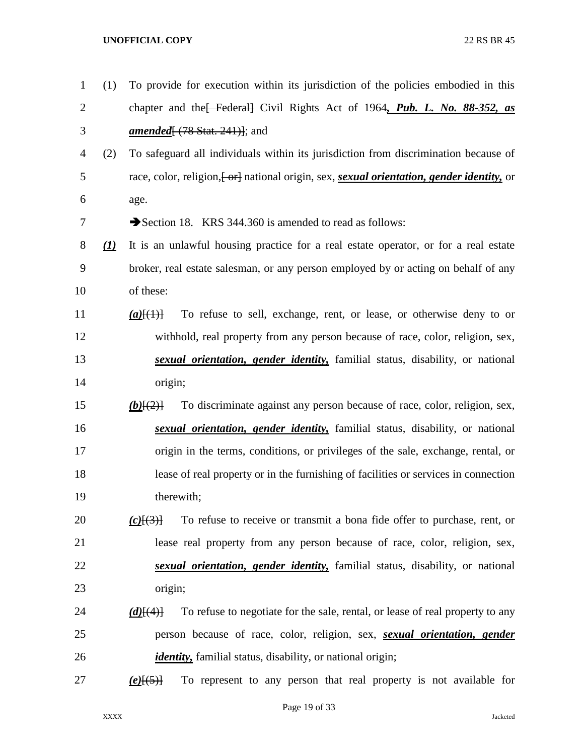| $\mathbf{1}$   | (1)                           | To provide for execution within its jurisdiction of the policies embodied in this            |
|----------------|-------------------------------|----------------------------------------------------------------------------------------------|
| $\overline{2}$ |                               | chapter and the Federal Civil Rights Act of 1964, Pub. L. No. 88-352, as                     |
| 3              |                               | <i>amended</i> $(78 \text{ Stat. } 241)$ ; and                                               |
| 4              | (2)                           | To safeguard all individuals within its jurisdiction from discrimination because of          |
| 5              |                               | race, color, religion, [or ] national origin, sex, sexual orientation, gender identity, or   |
| 6              |                               | age.                                                                                         |
| 7              |                               | Section 18. KRS 344.360 is amended to read as follows:                                       |
| 8              | $\left( \underline{I}\right)$ | It is an unlawful housing practice for a real estate operator, or for a real estate          |
| 9              |                               | broker, real estate salesman, or any person employed by or acting on behalf of any           |
| 10             |                               | of these:                                                                                    |
| 11             |                               | To refuse to sell, exchange, rent, or lease, or otherwise deny to or<br>$(a)$ [(1)]          |
| 12             |                               | withhold, real property from any person because of race, color, religion, sex,               |
| 13             |                               | sexual orientation, gender identity, familial status, disability, or national                |
| 14             |                               | origin;                                                                                      |
| 15             |                               | To discriminate against any person because of race, color, religion, sex,<br>$(b)$ [(2)]     |
| 16             |                               | sexual orientation, gender identity, familial status, disability, or national                |
| 17             |                               | origin in the terms, conditions, or privileges of the sale, exchange, rental, or             |
| 18             |                               | lease of real property or in the furnishing of facilities or services in connection          |
| 19             |                               | therewith;                                                                                   |
| 20             |                               | To refuse to receive or transmit a bona fide offer to purchase, rent, or<br>$(c)$ $\{3\}$    |
| 21             |                               | lease real property from any person because of race, color, religion, sex,                   |
| 22             |                               | sexual orientation, gender identity, familial status, disability, or national                |
| 23             |                               | origin;                                                                                      |
| 24             |                               | To refuse to negotiate for the sale, rental, or lease of real property to any<br>$(d)$ [(4)] |
| 25             |                               | person because of race, color, religion, sex, <i>sexual orientation</i> , <i>gender</i>      |
| 26             |                               | <i>identity</i> , familial status, disability, or national origin;                           |
| 27             |                               | To represent to any person that real property is not available for<br>$(e)$ [(5)]            |
|                |                               |                                                                                              |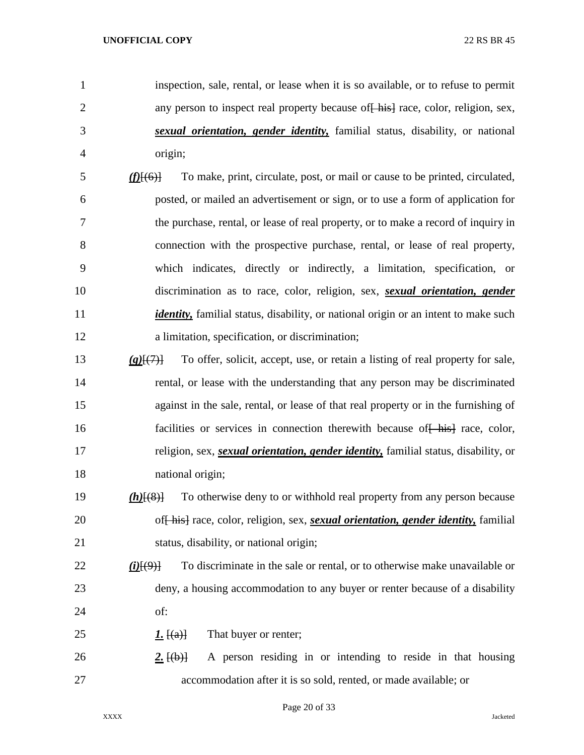- inspection, sale, rental, or lease when it is so available, or to refuse to permit 2 any person to inspect real property because of his race, color, religion, sex, *sexual orientation, gender identity,* familial status, disability, or national origin;
- *(f)*[(6)] To make, print, circulate, post, or mail or cause to be printed, circulated, posted, or mailed an advertisement or sign, or to use a form of application for the purchase, rental, or lease of real property, or to make a record of inquiry in connection with the prospective purchase, rental, or lease of real property, which indicates, directly or indirectly, a limitation, specification, or discrimination as to race, color, religion, sex, *sexual orientation, gender identity*, familial status, disability, or national origin or an intent to make such a limitation, specification, or discrimination;
- *(g)*[(7)] To offer, solicit, accept, use, or retain a listing of real property for sale, rental, or lease with the understanding that any person may be discriminated against in the sale, rental, or lease of that real property or in the furnishing of 16 facilities or services in connection therewith because of his race, color, religion, sex, *sexual orientation, gender identity,* familial status, disability, or national origin;
- *(h)*[(8)] To otherwise deny to or withhold real property from any person because of[ his] race, color, religion, sex, *sexual orientation, gender identity,* familial status, disability, or national origin;
- *(i)*[(9)] To discriminate in the sale or rental, or to otherwise make unavailable or deny, a housing accommodation to any buyer or renter because of a disability of:
- 25  $1. \text{ }$   $\text{ }$   $\text{ }$   $\text{ }$   $\text{ }$   $\text{ }$   $\text{ }$   $\text{ }$   $\text{ }$   $\text{ }$   $\text{ }$   $\text{ }$   $\text{ }$   $\text{ }$   $\text{ }$   $\text{ }$   $\text{ }$   $\text{ }$   $\text{ }$   $\text{ }$   $\text{ }$   $\text{ }$   $\text{ }$   $\text{ }$   $\text{ }$   $\text{ }$   $\text{ }$   $\text{ }$   $\text{ }$   $\text{ }$   $\text{ }$
- 26 **2.**  $\{(\mathbf{b})\}$  A person residing in or intending to reside in that housing accommodation after it is so sold, rented, or made available; or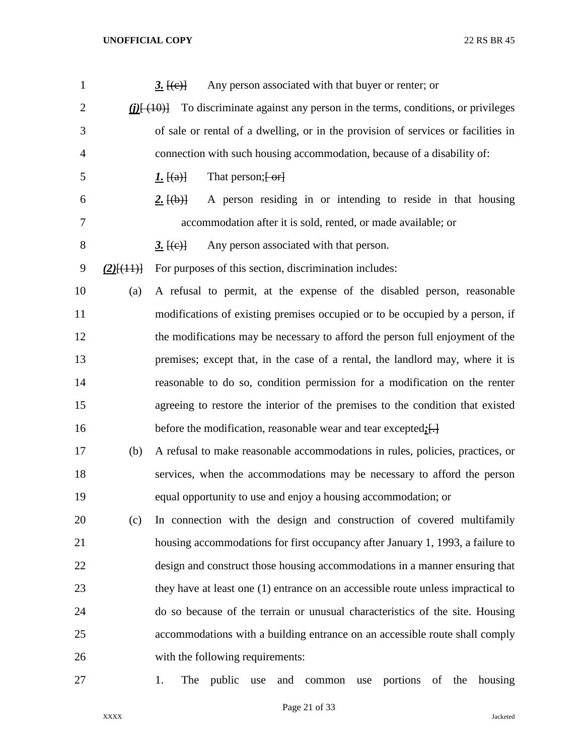| $\mathbf{1}$   |                  | Any person associated with that buyer or renter; or<br><u>3. <math>[(e)]</math></u>                                |
|----------------|------------------|--------------------------------------------------------------------------------------------------------------------|
| $\overline{2}$ |                  | To discriminate against any person in the terms, conditions, or privileges<br>$(i)$ $\left[\frac{(10)}{10}\right]$ |
| 3              |                  | of sale or rental of a dwelling, or in the provision of services or facilities in                                  |
| $\overline{4}$ |                  | connection with such housing accommodation, because of a disability of:                                            |
| 5              |                  | That person; $\left\{ -\text{or}\right\}$<br><u><i>I</i>.</u> $[(a)]$                                              |
| 6              |                  | A person residing in or intending to reside in that housing<br>2. $\{\theta\}$                                     |
| 7              |                  | accommodation after it is sold, rented, or made available; or                                                      |
| $8\,$          |                  | Any person associated with that person.<br><u>3. <math>[(e)]</math></u>                                            |
| 9              | $(2)$ [ $(11)$ ] | For purposes of this section, discrimination includes:                                                             |
| 10             | (a)              | A refusal to permit, at the expense of the disabled person, reasonable                                             |
| 11             |                  | modifications of existing premises occupied or to be occupied by a person, if                                      |
| 12             |                  | the modifications may be necessary to afford the person full enjoyment of the                                      |
| 13             |                  | premises; except that, in the case of a rental, the landlord may, where it is                                      |
| 14             |                  | reasonable to do so, condition permission for a modification on the renter                                         |
| 15             |                  | agreeing to restore the interior of the premises to the condition that existed                                     |
| 16             |                  | before the modification, reasonable wear and tear excepted: $[\cdot]$                                              |
| 17             | (b)              | A refusal to make reasonable accommodations in rules, policies, practices, or                                      |
| 18             |                  | services, when the accommodations may be necessary to afford the person                                            |
| 19             |                  | equal opportunity to use and enjoy a housing accommodation; or                                                     |
| 20             | (c)              | In connection with the design and construction of covered multifamily                                              |
| 21             |                  | housing accommodations for first occupancy after January 1, 1993, a failure to                                     |
| 22             |                  | design and construct those housing accommodations in a manner ensuring that                                        |
| 23             |                  | they have at least one (1) entrance on an accessible route unless impractical to                                   |
| 24             |                  | do so because of the terrain or unusual characteristics of the site. Housing                                       |
| 25             |                  | accommodations with a building entrance on an accessible route shall comply                                        |
| 26             |                  | with the following requirements:                                                                                   |
| 27             |                  | The<br>portions<br>of<br>housing<br>1.<br>public<br>the<br>use<br>and<br>common<br>use                             |

Page 21 of 33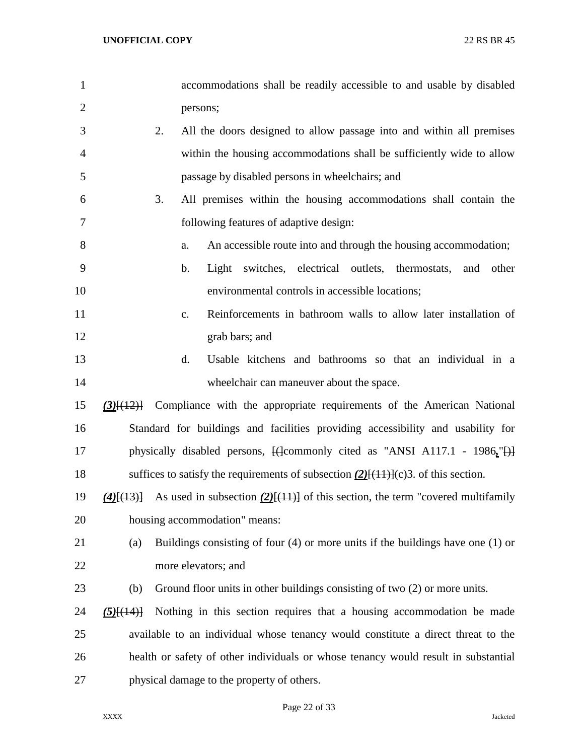| $\mathbf{1}$   |                  | accommodations shall be readily accessible to and usable by disabled                                                   |
|----------------|------------------|------------------------------------------------------------------------------------------------------------------------|
| $\overline{2}$ |                  | persons;                                                                                                               |
| 3              | 2.               | All the doors designed to allow passage into and within all premises                                                   |
| 4              |                  | within the housing accommodations shall be sufficiently wide to allow                                                  |
| 5              |                  | passage by disabled persons in wheelchairs; and                                                                        |
| 6              | 3.               | All premises within the housing accommodations shall contain the                                                       |
| 7              |                  | following features of adaptive design:                                                                                 |
| 8              |                  | An accessible route into and through the housing accommodation;<br>a.                                                  |
| 9              |                  | switches, electrical outlets, thermostats,<br>b.<br>Light<br>and<br>other                                              |
| 10             |                  | environmental controls in accessible locations;                                                                        |
| 11             |                  | Reinforcements in bathroom walls to allow later installation of<br>$C_{\bullet}$                                       |
| 12             |                  | grab bars; and                                                                                                         |
| 13             |                  | d.<br>Usable kitchens and bathrooms so that an individual in a                                                         |
| 14             |                  | wheelchair can maneuver about the space.                                                                               |
| 15             |                  | $(3)$ [ $(12)$ ] Compliance with the appropriate requirements of the American National                                 |
| 16             |                  | Standard for buildings and facilities providing accessibility and usability for                                        |
| 17             |                  | physically disabled persons, $\left\{\frac{1}{2}$ commonly cited as "ANSI A117.1 - 1986," $\left\{\frac{1}{2}\right\}$ |
| 18             |                  | suffices to satisfy the requirements of subsection $(2)$ [ $(11)$ ] $(c)$ 3. of this section.                          |
| 19             | $(4)$ $(13)$     | As used in subsection $(2)$ [(11)] of this section, the term "covered multifamily                                      |
| 20             |                  | housing accommodation" means:                                                                                          |
| 21             | (a)              | Buildings consisting of four $(4)$ or more units if the buildings have one $(1)$ or                                    |
| 22             |                  | more elevators; and                                                                                                    |
| 23             | (b)              | Ground floor units in other buildings consisting of two (2) or more units.                                             |
| 24             | $(5)$ [ $(14)$ ] | Nothing in this section requires that a housing accommodation be made                                                  |
| 25             |                  | available to an individual whose tenancy would constitute a direct threat to the                                       |
| 26             |                  | health or safety of other individuals or whose tenancy would result in substantial                                     |
| 27             |                  | physical damage to the property of others.                                                                             |

Page 22 of 33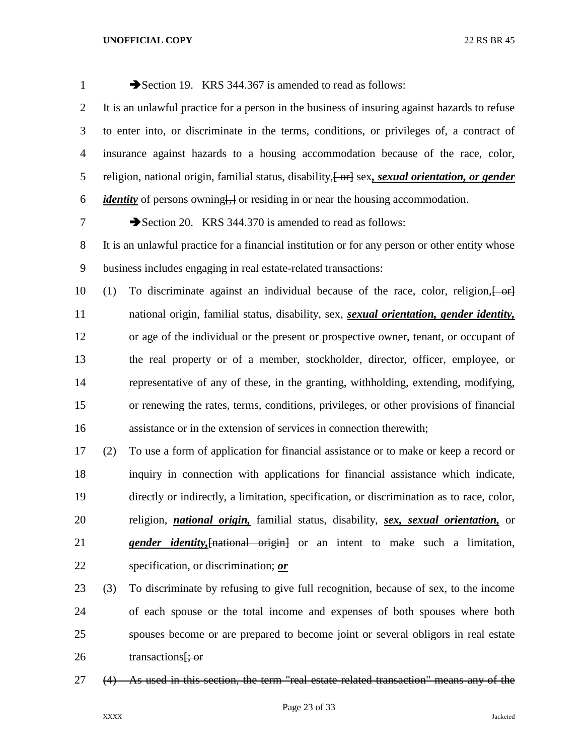| $\mathbf{1}$     | Section 19. KRS 344.367 is amended to read as follows:                                                                                                         |
|------------------|----------------------------------------------------------------------------------------------------------------------------------------------------------------|
| $\overline{2}$   | It is an unlawful practice for a person in the business of insuring against hazards to refuse                                                                  |
| 3                | to enter into, or discriminate in the terms, conditions, or privileges of, a contract of                                                                       |
| $\overline{4}$   | insurance against hazards to a housing accommodation because of the race, color,                                                                               |
| 5                | religion, national origin, familial status, disability, [-or] sex, sexual orientation, or gender                                                               |
| 6                | <i>identity</i> of persons owning <del>[,]</del> or residing in or near the housing accommodation.                                                             |
| 7                | Section 20. KRS 344.370 is amended to read as follows:                                                                                                         |
| $8\phantom{.}$   | It is an unlawful practice for a financial institution or for any person or other entity whose                                                                 |
| $\boldsymbol{9}$ | business includes engaging in real estate-related transactions:                                                                                                |
| 10               | To discriminate against an individual because of the race, color, religion, $\left\{\n\begin{array}{c}\n\text{er}\n\\ \text{er}\n\end{array}\n\right\}$<br>(1) |
| 11               | national origin, familial status, disability, sex, sexual orientation, gender identity,                                                                        |
| 12               | or age of the individual or the present or prospective owner, tenant, or occupant of                                                                           |
| 13               | the real property or of a member, stockholder, director, officer, employee, or                                                                                 |
| 14               | representative of any of these, in the granting, withholding, extending, modifying,                                                                            |
| 15               | or renewing the rates, terms, conditions, privileges, or other provisions of financial                                                                         |
| 16               | assistance or in the extension of services in connection therewith;                                                                                            |
| 17               | To use a form of application for financial assistance or to make or keep a record or<br>(2)                                                                    |
| 18               | inquiry in connection with applications for financial assistance which indicate,                                                                               |
| 19               | directly or indirectly, a limitation, specification, or discrimination as to race, color,                                                                      |
| 20               | religion, <i>national origin</i> , familial status, disability, <i>sex, sexual orientation</i> , or                                                            |
| 21               | <i>gender identity</i> , [national origin] or an intent to make such a limitation,                                                                             |
| 22               | specification, or discrimination; or                                                                                                                           |

- (3) To discriminate by refusing to give full recognition, because of sex, to the income of each spouse or the total income and expenses of both spouses where both spouses become or are prepared to become joint or several obligors in real estate 26  $transactions$ ; or
- (4) As used in this section, the term "real estate-related transaction" means any of the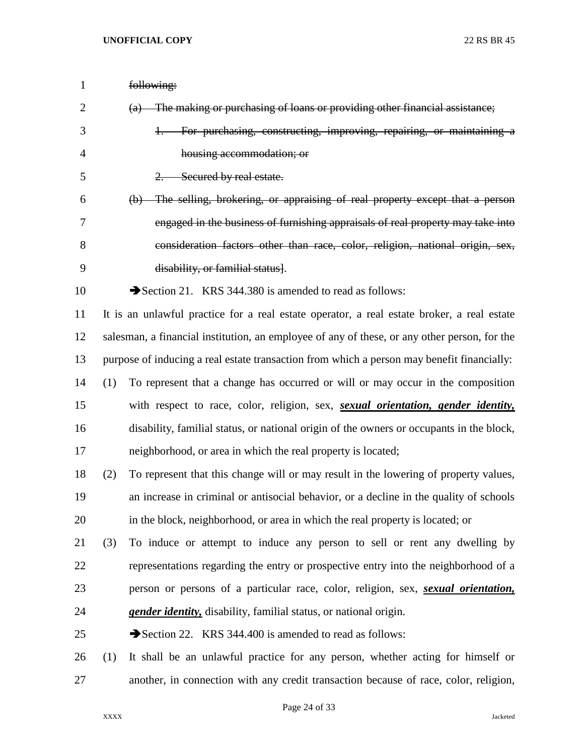| $\mathbf{1}$ |     | following:                                                                                       |
|--------------|-----|--------------------------------------------------------------------------------------------------|
| 2            |     | (a) The making or purchasing of loans or providing other financial assistance;                   |
| 3            |     | For purchasing, constructing, improving, repairing, or maintaining a<br>$+\frac{1}{2}$           |
| 4            |     | housing accommodation; or                                                                        |
| 5            |     | Secured by real estate.                                                                          |
| 6            |     | (b) The selling, brokering, or appraising of real property except that a person                  |
| 7            |     | engaged in the business of furnishing appraisals of real property may take into                  |
| 8            |     | consideration factors other than race, color, religion, national origin, sex,                    |
| 9            |     | disability, or familial status.                                                                  |
| 10           |     | Section 21. KRS 344.380 is amended to read as follows:                                           |
| 11           |     | It is an unlawful practice for a real estate operator, a real estate broker, a real estate       |
| 12           |     | salesman, a financial institution, an employee of any of these, or any other person, for the     |
| 13           |     | purpose of inducing a real estate transaction from which a person may benefit financially:       |
| 14           | (1) | To represent that a change has occurred or will or may occur in the composition                  |
| 15           |     | with respect to race, color, religion, sex, <i>sexual orientation</i> , <i>gender identity</i> , |
| 16           |     | disability, familial status, or national origin of the owners or occupants in the block,         |
| 17           |     | neighborhood, or area in which the real property is located;                                     |
| 18           | (2) | To represent that this change will or may result in the lowering of property values,             |
| 19           |     | an increase in criminal or antisocial behavior, or a decline in the quality of schools           |
| 20           |     | in the block, neighborhood, or area in which the real property is located; or                    |
| 21           | (3) | To induce or attempt to induce any person to sell or rent any dwelling by                        |
| 22           |     | representations regarding the entry or prospective entry into the neighborhood of a              |
| 23           |     | person or persons of a particular race, color, religion, sex, <i>sexual orientation</i> ,        |
| 24           |     | <i>gender identity</i> , disability, familial status, or national origin.                        |
| 25           |     | Section 22. KRS 344.400 is amended to read as follows:                                           |
| 26           | (1) | It shall be an unlawful practice for any person, whether acting for himself or                   |
| 27           |     | another, in connection with any credit transaction because of race, color, religion,             |

Page 24 of 33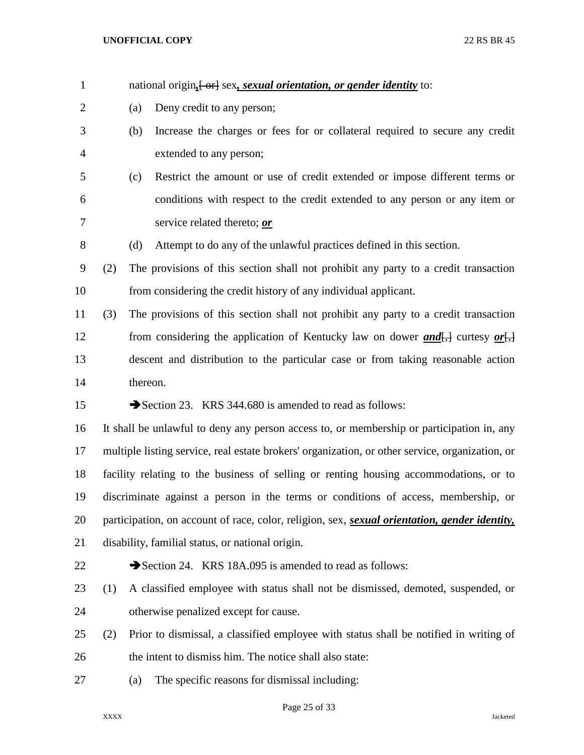| $\mathbf{1}$   |     | national origin <sub>t</sub> [or] sex, sexual orientation, or gender identity to:                                              |
|----------------|-----|--------------------------------------------------------------------------------------------------------------------------------|
| $\overline{2}$ |     | Deny credit to any person;<br>(a)                                                                                              |
| 3              |     | Increase the charges or fees for or collateral required to secure any credit<br>(b)                                            |
| $\overline{4}$ |     | extended to any person;                                                                                                        |
| 5              |     | Restrict the amount or use of credit extended or impose different terms or<br>(c)                                              |
| 6              |     | conditions with respect to the credit extended to any person or any item or                                                    |
| 7              |     | service related thereto; or                                                                                                    |
| $8\,$          |     | Attempt to do any of the unlawful practices defined in this section.<br>(d)                                                    |
| 9              | (2) | The provisions of this section shall not prohibit any party to a credit transaction                                            |
| 10             |     | from considering the credit history of any individual applicant.                                                               |
| 11             | (3) | The provisions of this section shall not prohibit any party to a credit transaction                                            |
| 12             |     | from considering the application of Kentucky law on dower and $\left[\frac{1}{2}\right]$ curtesy or $\left[\frac{1}{2}\right]$ |
| 13             |     | descent and distribution to the particular case or from taking reasonable action                                               |
| 14             |     | thereon.                                                                                                                       |
|                |     |                                                                                                                                |
| 15             |     | Section 23. KRS 344.680 is amended to read as follows:                                                                         |
| 16             |     | It shall be unlawful to deny any person access to, or membership or participation in, any                                      |
| 17             |     | multiple listing service, real estate brokers' organization, or other service, organization, or                                |
| 18             |     | facility relating to the business of selling or renting housing accommodations, or to                                          |
| 19             |     | discriminate against a person in the terms or conditions of access, membership, or                                             |
| 20             |     | participation, on account of race, color, religion, sex, <i>sexual orientation</i> , <i>gender identity</i> ,                  |
| 21             |     | disability, familial status, or national origin.                                                                               |
| 22             |     | Section 24. KRS 18A.095 is amended to read as follows:                                                                         |
| 23             | (1) | A classified employee with status shall not be dismissed, demoted, suspended, or                                               |
| 24             |     | otherwise penalized except for cause.                                                                                          |
| 25             | (2) | Prior to dismissal, a classified employee with status shall be notified in writing of                                          |
| 26             |     | the intent to dismiss him. The notice shall also state:                                                                        |

# Page 25 of 33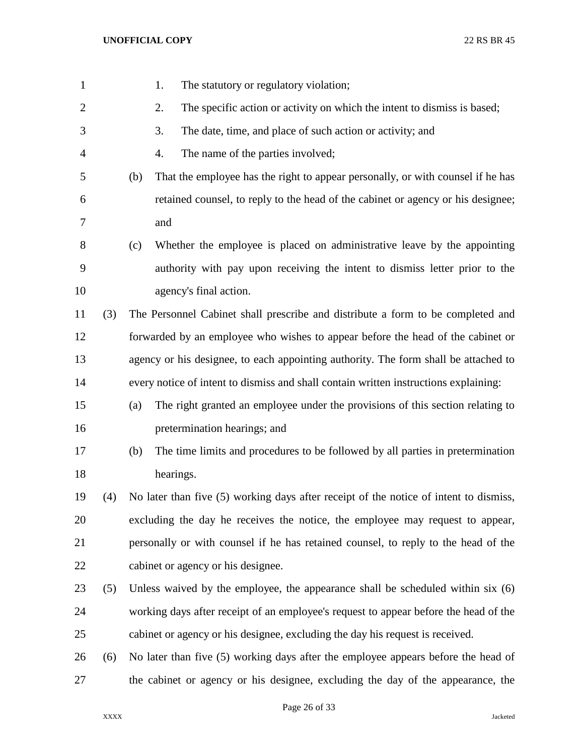| $\mathbf{1}$   |     | The statutory or regulatory violation;<br>1.                                           |
|----------------|-----|----------------------------------------------------------------------------------------|
| $\overline{2}$ |     | The specific action or activity on which the intent to dismiss is based;<br>2.         |
| 3              |     | The date, time, and place of such action or activity; and<br>3.                        |
| 4              |     | The name of the parties involved;<br>4.                                                |
| 5              |     | (b)<br>That the employee has the right to appear personally, or with counsel if he has |
| 6              |     | retained counsel, to reply to the head of the cabinet or agency or his designee;       |
| 7              |     | and                                                                                    |
| 8              |     | Whether the employee is placed on administrative leave by the appointing<br>(c)        |
| 9              |     | authority with pay upon receiving the intent to dismiss letter prior to the            |
| 10             |     | agency's final action.                                                                 |
| 11             | (3) | The Personnel Cabinet shall prescribe and distribute a form to be completed and        |
| 12             |     | forwarded by an employee who wishes to appear before the head of the cabinet or        |
| 13             |     | agency or his designee, to each appointing authority. The form shall be attached to    |
| 14             |     | every notice of intent to dismiss and shall contain written instructions explaining:   |
| 15             |     | The right granted an employee under the provisions of this section relating to<br>(a)  |
| 16             |     | pretermination hearings; and                                                           |
| 17             |     | (b)<br>The time limits and procedures to be followed by all parties in pretermination  |
| 18             |     | hearings.                                                                              |
| 19             | (4) | No later than five (5) working days after receipt of the notice of intent to dismiss,  |
| 20             |     | excluding the day he receives the notice, the employee may request to appear,          |
| 21             |     | personally or with counsel if he has retained counsel, to reply to the head of the     |
| 22             |     | cabinet or agency or his designee.                                                     |
| 23             | (5) | Unless waived by the employee, the appearance shall be scheduled within six $(6)$      |
| 24             |     | working days after receipt of an employee's request to appear before the head of the   |
| 25             |     | cabinet or agency or his designee, excluding the day his request is received.          |
| 26             | (6) | No later than five (5) working days after the employee appears before the head of      |
| 27             |     | the cabinet or agency or his designee, excluding the day of the appearance, the        |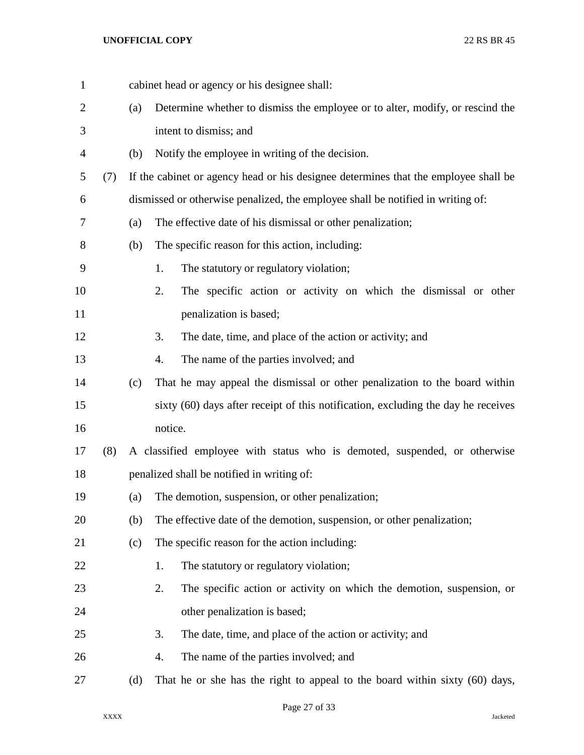|     |     | cabinet head or agency or his designee shall:                                       |
|-----|-----|-------------------------------------------------------------------------------------|
|     | (a) | Determine whether to dismiss the employee or to alter, modify, or rescind the       |
|     |     | intent to dismiss; and                                                              |
|     | (b) | Notify the employee in writing of the decision.                                     |
| (7) |     | If the cabinet or agency head or his designee determines that the employee shall be |
|     |     | dismissed or otherwise penalized, the employee shall be notified in writing of:     |
|     | (a) | The effective date of his dismissal or other penalization;                          |
|     | (b) | The specific reason for this action, including:                                     |
|     |     | 1.<br>The statutory or regulatory violation;                                        |
|     |     | 2.<br>The specific action or activity on which the dismissal or other               |
|     |     | penalization is based;                                                              |
|     |     | 3.<br>The date, time, and place of the action or activity; and                      |
|     |     | The name of the parties involved; and<br>4.                                         |
|     | (c) | That he may appeal the dismissal or other penalization to the board within          |
|     |     | sixty (60) days after receipt of this notification, excluding the day he receives   |
|     |     | notice.                                                                             |
| (8) |     | A classified employee with status who is demoted, suspended, or otherwise           |
|     |     | penalized shall be notified in writing of:                                          |
|     | (a) | The demotion, suspension, or other penalization;                                    |
|     | (b) | The effective date of the demotion, suspension, or other penalization;              |
|     | (c) | The specific reason for the action including:                                       |
|     |     | The statutory or regulatory violation;<br>1.                                        |
|     |     | 2.<br>The specific action or activity on which the demotion, suspension, or         |
|     |     | other penalization is based;                                                        |
|     |     | 3.<br>The date, time, and place of the action or activity; and                      |
|     |     | 4.<br>The name of the parties involved; and                                         |
|     | (d) | That he or she has the right to appeal to the board within sixty (60) days,         |
|     |     |                                                                                     |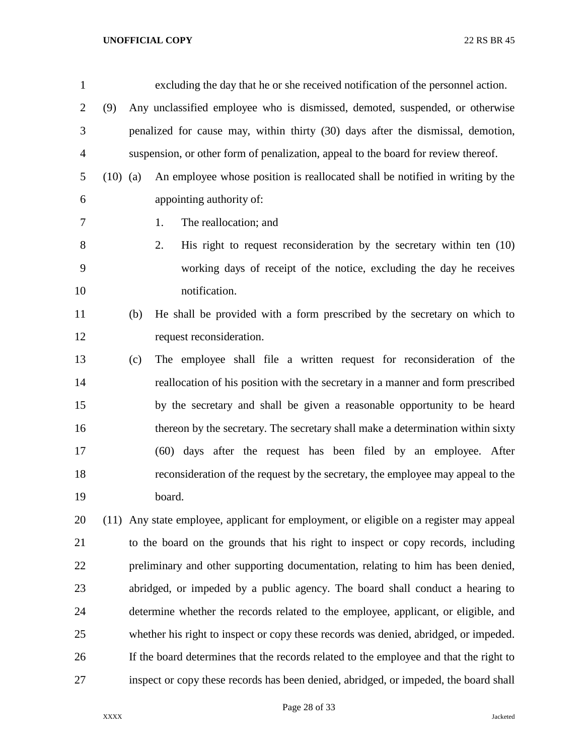| $\mathbf{1}$ |            | excluding the day that he or she received notification of the personnel action.         |
|--------------|------------|-----------------------------------------------------------------------------------------|
| 2            | (9)        | Any unclassified employee who is dismissed, demoted, suspended, or otherwise            |
| 3            |            | penalized for cause may, within thirty (30) days after the dismissal, demotion,         |
| 4            |            | suspension, or other form of penalization, appeal to the board for review thereof.      |
| 5            | $(10)$ (a) | An employee whose position is reallocated shall be notified in writing by the           |
| 6            |            | appointing authority of:                                                                |
| 7            |            | The reallocation; and<br>1.                                                             |
| $8\,$        |            | 2.<br>His right to request reconsideration by the secretary within ten $(10)$           |
| 9            |            | working days of receipt of the notice, excluding the day he receives                    |
| 10           |            | notification.                                                                           |
| 11           | (b)        | He shall be provided with a form prescribed by the secretary on which to                |
| 12           |            | request reconsideration.                                                                |
| 13           | (c)        | The employee shall file a written request for reconsideration of the                    |
| 14           |            | reallocation of his position with the secretary in a manner and form prescribed         |
| 15           |            | by the secretary and shall be given a reasonable opportunity to be heard                |
| 16           |            | thereon by the secretary. The secretary shall make a determination within sixty         |
| 17           |            | (60) days after the request has been filed by an employee. After                        |
| 18           |            | reconsideration of the request by the secretary, the employee may appeal to the         |
| 19           |            | board.                                                                                  |
| 20           |            | (11) Any state employee, applicant for employment, or eligible on a register may appeal |
| 21           |            | to the board on the grounds that his right to inspect or copy records, including        |
| 22           |            | preliminary and other supporting documentation, relating to him has been denied,        |
| 23           |            | abridged, or impeded by a public agency. The board shall conduct a hearing to           |
| 24           |            | determine whether the records related to the employee, applicant, or eligible, and      |
| 25           |            | whether his right to inspect or copy these records was denied, abridged, or impeded.    |

inspect or copy these records has been denied, abridged, or impeded, the board shall

If the board determines that the records related to the employee and that the right to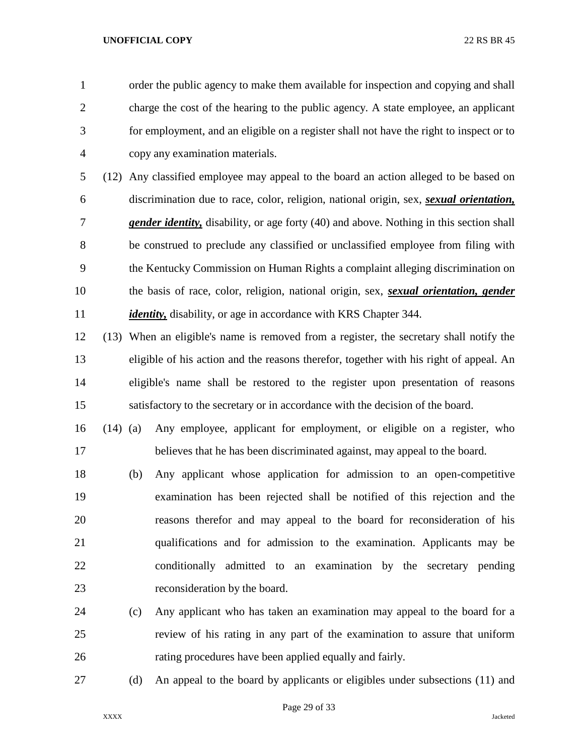order the public agency to make them available for inspection and copying and shall charge the cost of the hearing to the public agency. A state employee, an applicant for employment, and an eligible on a register shall not have the right to inspect or to copy any examination materials.

 (12) Any classified employee may appeal to the board an action alleged to be based on discrimination due to race, color, religion, national origin, sex, *sexual orientation, gender identity,* disability, or age forty (40) and above. Nothing in this section shall be construed to preclude any classified or unclassified employee from filing with the Kentucky Commission on Human Rights a complaint alleging discrimination on the basis of race, color, religion, national origin, sex, *sexual orientation, gender identity*, disability, or age in accordance with KRS Chapter 344.

 (13) When an eligible's name is removed from a register, the secretary shall notify the eligible of his action and the reasons therefor, together with his right of appeal. An eligible's name shall be restored to the register upon presentation of reasons satisfactory to the secretary or in accordance with the decision of the board.

 (14) (a) Any employee, applicant for employment, or eligible on a register, who believes that he has been discriminated against, may appeal to the board.

 (b) Any applicant whose application for admission to an open-competitive examination has been rejected shall be notified of this rejection and the reasons therefor and may appeal to the board for reconsideration of his qualifications and for admission to the examination. Applicants may be conditionally admitted to an examination by the secretary pending reconsideration by the board.

- (c) Any applicant who has taken an examination may appeal to the board for a review of his rating in any part of the examination to assure that uniform rating procedures have been applied equally and fairly.
- 

(d) An appeal to the board by applicants or eligibles under subsections (11) and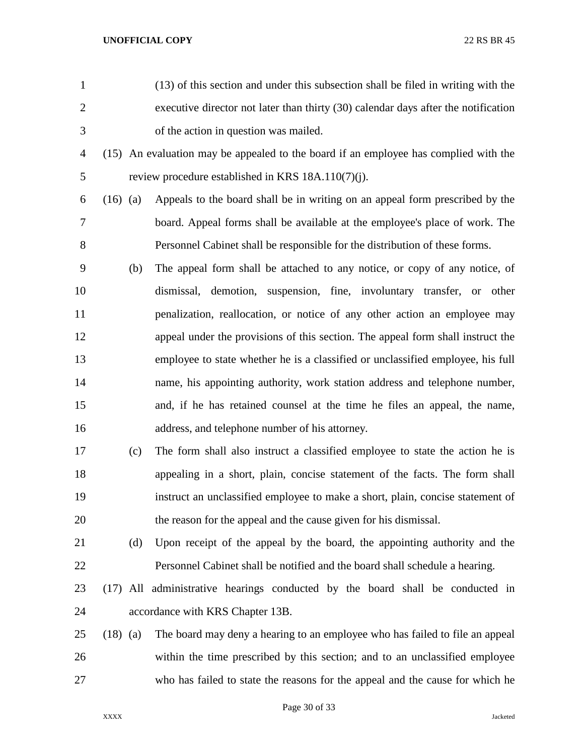| $\mathbf{1}$   |            | (13) of this section and under this subsection shall be filed in writing with the    |
|----------------|------------|--------------------------------------------------------------------------------------|
| $\overline{2}$ |            | executive director not later than thirty (30) calendar days after the notification   |
| 3              |            | of the action in question was mailed.                                                |
| 4              |            | (15) An evaluation may be appealed to the board if an employee has complied with the |
| 5              |            | review procedure established in KRS $18A.110(7)(i)$ .                                |
| 6              | $(16)$ (a) | Appeals to the board shall be in writing on an appeal form prescribed by the         |
| 7              |            | board. Appeal forms shall be available at the employee's place of work. The          |
| 8              |            | Personnel Cabinet shall be responsible for the distribution of these forms.          |
| 9              | (b)        | The appeal form shall be attached to any notice, or copy of any notice, of           |
| 10             |            | dismissal, demotion, suspension, fine, involuntary transfer, or other                |
| 11             |            | penalization, reallocation, or notice of any other action an employee may            |
| 12             |            | appeal under the provisions of this section. The appeal form shall instruct the      |
| 13             |            | employee to state whether he is a classified or unclassified employee, his full      |
| 14             |            | name, his appointing authority, work station address and telephone number,           |
| 15             |            | and, if he has retained counsel at the time he files an appeal, the name,            |
| 16             |            | address, and telephone number of his attorney.                                       |
| 17             | (c)        | The form shall also instruct a classified employee to state the action he is         |
| 18             |            | appealing in a short, plain, concise statement of the facts. The form shall          |
| 19             |            | instruct an unclassified employee to make a short, plain, concise statement of       |
| 20             |            | the reason for the appeal and the cause given for his dismissal.                     |
| 21             | (d)        | Upon receipt of the appeal by the board, the appointing authority and the            |
| 22             |            | Personnel Cabinet shall be notified and the board shall schedule a hearing.          |
| 23             |            | (17) All administrative hearings conducted by the board shall be conducted in        |
| 24             |            | accordance with KRS Chapter 13B.                                                     |
| 25             | $(18)$ (a) | The board may deny a hearing to an employee who has failed to file an appeal         |
| 26             |            | within the time prescribed by this section; and to an unclassified employee          |
| 27             |            | who has failed to state the reasons for the appeal and the cause for which he        |
|                |            |                                                                                      |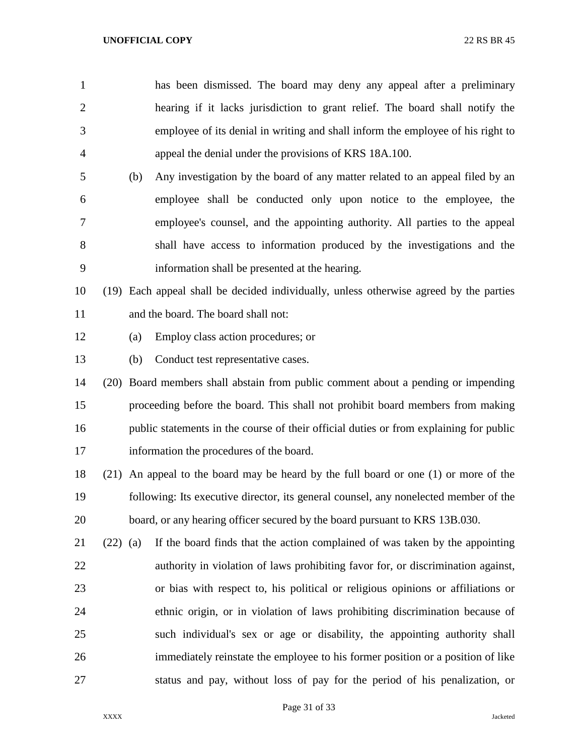has been dismissed. The board may deny any appeal after a preliminary hearing if it lacks jurisdiction to grant relief. The board shall notify the employee of its denial in writing and shall inform the employee of his right to appeal the denial under the provisions of KRS 18A.100.

 (b) Any investigation by the board of any matter related to an appeal filed by an employee shall be conducted only upon notice to the employee, the employee's counsel, and the appointing authority. All parties to the appeal shall have access to information produced by the investigations and the information shall be presented at the hearing.

 (19) Each appeal shall be decided individually, unless otherwise agreed by the parties and the board. The board shall not:

- (a) Employ class action procedures; or
- (b) Conduct test representative cases.
- (20) Board members shall abstain from public comment about a pending or impending proceeding before the board. This shall not prohibit board members from making 16 public statements in the course of their official duties or from explaining for public information the procedures of the board.
- (21) An appeal to the board may be heard by the full board or one (1) or more of the following: Its executive director, its general counsel, any nonelected member of the board, or any hearing officer secured by the board pursuant to KRS 13B.030.
- (22) (a) If the board finds that the action complained of was taken by the appointing authority in violation of laws prohibiting favor for, or discrimination against, or bias with respect to, his political or religious opinions or affiliations or ethnic origin, or in violation of laws prohibiting discrimination because of such individual's sex or age or disability, the appointing authority shall immediately reinstate the employee to his former position or a position of like status and pay, without loss of pay for the period of his penalization, or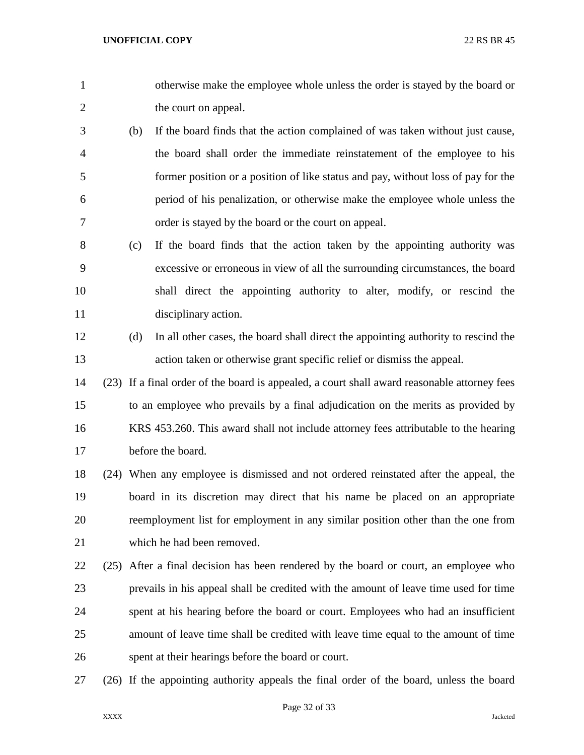- otherwise make the employee whole unless the order is stayed by the board or 2 the court on appeal.
- (b) If the board finds that the action complained of was taken without just cause, the board shall order the immediate reinstatement of the employee to his former position or a position of like status and pay, without loss of pay for the period of his penalization, or otherwise make the employee whole unless the order is stayed by the board or the court on appeal.
- (c) If the board finds that the action taken by the appointing authority was excessive or erroneous in view of all the surrounding circumstances, the board shall direct the appointing authority to alter, modify, or rescind the disciplinary action.
- (d) In all other cases, the board shall direct the appointing authority to rescind the action taken or otherwise grant specific relief or dismiss the appeal.
- (23) If a final order of the board is appealed, a court shall award reasonable attorney fees to an employee who prevails by a final adjudication on the merits as provided by KRS 453.260. This award shall not include attorney fees attributable to the hearing before the board.
- (24) When any employee is dismissed and not ordered reinstated after the appeal, the board in its discretion may direct that his name be placed on an appropriate reemployment list for employment in any similar position other than the one from which he had been removed.
- (25) After a final decision has been rendered by the board or court, an employee who prevails in his appeal shall be credited with the amount of leave time used for time spent at his hearing before the board or court. Employees who had an insufficient amount of leave time shall be credited with leave time equal to the amount of time spent at their hearings before the board or court.
- (26) If the appointing authority appeals the final order of the board, unless the board